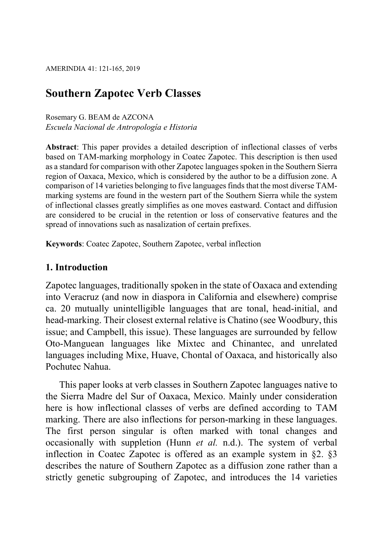# Southern Zapotec Verb Classes

### Rosemary G. BEAM de AZCONA Escuela Nacional de Antropología e Historia

Abstract: This paper provides a detailed description of inflectional classes of verbs based on TAM-marking morphology in Coatec Zapotec. This description is then used as a standard for comparison with other Zapotec languages spoken in the Southern Sierra region of Oaxaca, Mexico, which is considered by the author to be a diffusion zone. A comparison of 14 varieties belonging to five languages finds that the most diverse TAMmarking systems are found in the western part of the Southern Sierra while the system of inflectional classes greatly simplifies as one moves eastward. Contact and diffusion are considered to be crucial in the retention or loss of conservative features and the spread of innovations such as nasalization of certain prefixes.

Keywords: Coatec Zapotec, Southern Zapotec, verbal inflection

# 1. Introduction

Zapotec languages, traditionally spoken in the state of Oaxaca and extending into Veracruz (and now in diaspora in California and elsewhere) comprise ca. 20 mutually unintelligible languages that are tonal, head-initial, and head-marking. Their closest external relative is Chatino (see Woodbury, this issue; and Campbell, this issue). These languages are surrounded by fellow Oto-Manguean languages like Mixtec and Chinantec, and unrelated languages including Mixe, Huave, Chontal of Oaxaca, and historically also Pochutec Nahua.

This paper looks at verb classes in Southern Zapotec languages native to the Sierra Madre del Sur of Oaxaca, Mexico. Mainly under consideration here is how inflectional classes of verbs are defined according to TAM marking. There are also inflections for person-marking in these languages. The first person singular is often marked with tonal changes and occasionally with suppletion (Hunn et al. n.d.). The system of verbal inflection in Coatec Zapotec is offered as an example system in §2. §3 describes the nature of Southern Zapotec as a diffusion zone rather than a strictly genetic subgrouping of Zapotec, and introduces the 14 varieties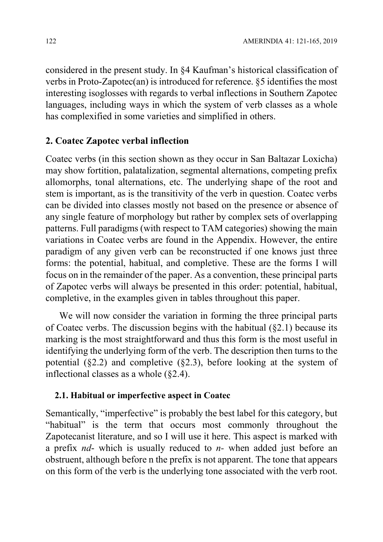considered in the present study. In §4 Kaufman's historical classification of verbs in Proto-Zapotec(an) is introduced for reference. §5 identifies the most interesting isoglosses with regards to verbal inflections in Southern Zapotec languages, including ways in which the system of verb classes as a whole has complexified in some varieties and simplified in others.

# 2. Coatec Zapotec verbal inflection

Coatec verbs (in this section shown as they occur in San Baltazar Loxicha) may show fortition, palatalization, segmental alternations, competing prefix allomorphs, tonal alternations, etc. The underlying shape of the root and stem is important, as is the transitivity of the verb in question. Coatec verbs can be divided into classes mostly not based on the presence or absence of any single feature of morphology but rather by complex sets of overlapping patterns. Full paradigms (with respect to TAM categories) showing the main variations in Coatec verbs are found in the Appendix. However, the entire paradigm of any given verb can be reconstructed if one knows just three forms: the potential, habitual, and completive. These are the forms I will focus on in the remainder of the paper. As a convention, these principal parts of Zapotec verbs will always be presented in this order: potential, habitual, completive, in the examples given in tables throughout this paper.

We will now consider the variation in forming the three principal parts of Coatec verbs. The discussion begins with the habitual (§2.1) because its marking is the most straightforward and thus this form is the most useful in identifying the underlying form of the verb. The description then turns to the potential (§2.2) and completive (§2.3), before looking at the system of inflectional classes as a whole (§2.4).

# 2.1. Habitual or imperfective aspect in Coatec

Semantically, "imperfective" is probably the best label for this category, but "habitual" is the term that occurs most commonly throughout the Zapotecanist literature, and so I will use it here. This aspect is marked with a prefix  $nd$ - which is usually reduced to  $n$ - when added just before an obstruent, although before n the prefix is not apparent. The tone that appears on this form of the verb is the underlying tone associated with the verb root.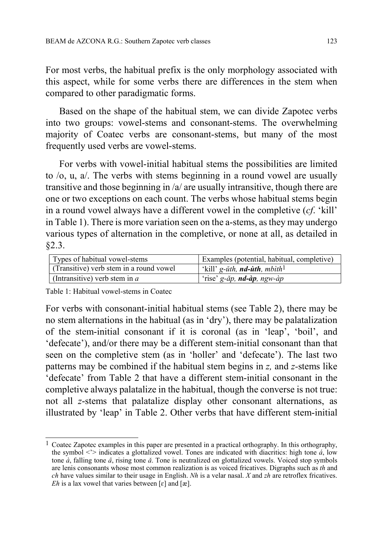For most verbs, the habitual prefix is the only morphology associated with this aspect, while for some verbs there are differences in the stem when compared to other paradigmatic forms.

Based on the shape of the habitual stem, we can divide Zapotec verbs into two groups: vowel-stems and consonant-stems. The overwhelming majority of Coatec verbs are consonant-stems, but many of the most frequently used verbs are vowel-stems.

For verbs with vowel-initial habitual stems the possibilities are limited to /o, u, a/. The verbs with stems beginning in a round vowel are usually transitive and those beginning in /a/ are usually intransitive, though there are one or two exceptions on each count. The verbs whose habitual stems begin in a round vowel always have a different vowel in the completive (cf. 'kill' in Table 1). There is more variation seen on the a-stems, as they may undergo various types of alternation in the completive, or none at all, as detailed in §2.3.

| Types of habitual vowel-stems           | Examples (potential, habitual, completive)                |
|-----------------------------------------|-----------------------------------------------------------|
| (Transitive) verb stem in a round vowel | 'kill' g- <i>ŭth</i> , <b>nd-ùth</b> , mbìth <sup>1</sup> |
| (Intransitive) verb stem in $a$         | 'rise' g- <i>ăp</i> , <b>nd-àp</b> , ngw-àp               |

Table 1: Habitual vowel-stems in Coatec

For verbs with consonant-initial habitual stems (see Table 2), there may be no stem alternations in the habitual (as in 'dry'), there may be palatalization of the stem-initial consonant if it is coronal (as in 'leap', 'boil', and 'defecate'), and/or there may be a different stem-initial consonant than that seen on the completive stem (as in 'holler' and 'defecate'). The last two patterns may be combined if the habitual stem begins in z, and z-stems like 'defecate' from Table 2 that have a different stem-initial consonant in the completive always palatalize in the habitual, though the converse is not true: not all z-stems that palatalize display other consonant alternations, as illustrated by 'leap' in Table 2. Other verbs that have different stem-initial

 $\overline{1}$ <sup>1</sup> Coatec Zapotec examples in this paper are presented in a practical orthography. In this orthography, the symbol  $\langle \cdot \rangle$  indicates a glottalized vowel. Tones are indicated with diacritics: high tone *á*, low tone  $\dot{a}$ , falling tone  $\dot{a}$ , rising tone  $\ddot{a}$ . Tone is neutralized on glottalized vowels. Voiced stop symbols are lenis consonants whose most common realization is as voiced fricatives. Digraphs such as th and ch have values similar to their usage in English. Nh is a velar nasal. X and zh are retroflex fricatives.  $Eh$  is a lax vowel that varies between [ $\varepsilon$ ] and [æ].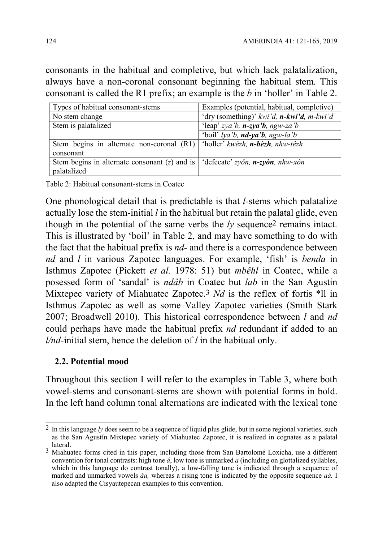consonants in the habitual and completive, but which lack palatalization, always have a non-coronal consonant beginning the habitual stem. This consonant is called the R1 prefix; an example is the b in 'holler' in Table 2.

| Types of habitual consonant-stems                                                   | Examples (potential, habitual, completive)      |
|-------------------------------------------------------------------------------------|-------------------------------------------------|
| No stem change                                                                      | 'dry (something)' kwi'd, $n$ -kwi'd, $m$ -kwi'd |
| Stem is palatalized                                                                 | 'leap' zya'b, $n$ -zya'b, ngw-za'b              |
|                                                                                     | 'boil' lya'b, $\boldsymbol{nd}$ -ya'b, ngw-la'b |
| Stem begins in alternate non-coronal (R1)   'holler' kwězh, n-bèzh, nhw-têzh        |                                                 |
| consonant                                                                           |                                                 |
| Stem begins in alternate consonant (z) and is   'defecate' zyon, $n$ -zyon, nhw-xôn |                                                 |
| palatalized                                                                         |                                                 |

Table 2: Habitual consonant-stems in Coatec

One phonological detail that is predictable is that l-stems which palatalize actually lose the stem-initial  $l$  in the habitual but retain the palatal glide, even though in the potential of the same verbs the  $ly$  sequence<sup>2</sup> remains intact. This is illustrated by 'boil' in Table 2, and may have something to do with the fact that the habitual prefix is  $nd$ - and there is a correspondence between nd and l in various Zapotec languages. For example, 'fish' is benda in Isthmus Zapotec (Pickett et al. 1978: 51) but mbêhl in Coatec, while a posessed form of 'sandal' is ndâb in Coatec but lab in the San Agustín Mixtepec variety of Miahuatec Zapotec.<sup>3</sup> Nd is the reflex of fortis \*ll in Isthmus Zapotec as well as some Valley Zapotec varieties (Smith Stark 2007; Broadwell 2010). This historical correspondence between l and nd could perhaps have made the habitual prefix nd redundant if added to an  $l/nd$ -initial stem, hence the deletion of  $l$  in the habitual only.

### 2.2. Potential mood

Throughout this section I will refer to the examples in Table 3, where both vowel-stems and consonant-stems are shown with potential forms in bold. In the left hand column tonal alternations are indicated with the lexical tone

 $\overline{a}$ <sup>2</sup> In this language ly does seem to be a sequence of liquid plus glide, but in some regional varieties, such as the San Agustín Mixtepec variety of Miahuatec Zapotec, it is realized in cognates as a palatal lateral.

<sup>3</sup> Miahuatec forms cited in this paper, including those from San Bartolomé Loxicha, use a different convention for tonal contrasts: high tone  $\acute{a}$ , low tone is unmarked  $\acute{a}$  (including on glottalized syllables, which in this language do contrast tonally), a low-falling tone is indicated through a sequence of marked and unmarked vowels *áa*, whereas a rising tone is indicated by the opposite sequence *aá*. I also adapted the Cisyautepecan examples to this convention.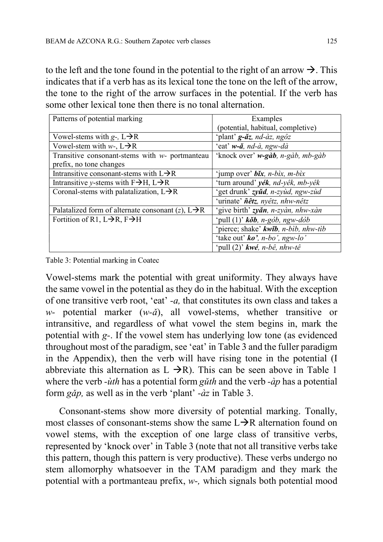to the left and the tone found in the potential to the right of an arrow  $\rightarrow$ . This indicates that if a verb has as its lexical tone the tone on the left of the arrow, the tone to the right of the arrow surfaces in the potential. If the verb has some other lexical tone then there is no tonal alternation.

| Patterns of potential marking                                  | Examples                                                   |
|----------------------------------------------------------------|------------------------------------------------------------|
|                                                                | (potential, habitual, completive)                          |
| Vowel-stems with $g$ -, $L \rightarrow R$                      | 'plant' <b>g-ăz</b> , nd-àz, ngôz                          |
| Vowel-stem with $w$ -, $L \rightarrow R$                       | 'eat' w-ă, nd-à, ngw-dà                                    |
| Transitive consonant-stems with $w$ - portmanteau              | 'knock over' w-gàb, n-gàb, mb-gàb                          |
| prefix, no tone changes                                        |                                                            |
| Intransitive consonant-stems with $L\rightarrow R$             | 'jump over' $b\tilde{x}$ , n-bix, m-bix                    |
| Intransitive y-stems with $F\rightarrow H$ , $L\rightarrow R$  | 'turn around' yék, nd-yêk, mb-yêk                          |
| Coronal-stems with palatalization, $L\rightarrow R$            | 'get drunk' zyŭd, n-zyùd, ngw-zùd                          |
|                                                                | 'urinate' <i>ñêtz</i> , nyêtz, nhw-nêtz                    |
| Palatalized form of alternate consonant (z), $L \rightarrow R$ | 'give birth' zyăn, n-zyàn, nhw-xàn                         |
| Fortition of R1, $L\rightarrow R$ , $F\rightarrow H$           | 'pull $(1)$ ' kŏb, n-gòb, ngw-dòb                          |
|                                                                | 'pierce; shake' kwib, n-bib, nhw-tib                       |
|                                                                | 'take out' $ko'$ , n-bo', ngw-lo'                          |
|                                                                | 'pull (2)' $kw\acute{e}$ , n-b $\hat{e}$ , nhw-t $\hat{e}$ |

Table 3: Potential marking in Coatec

Vowel-stems mark the potential with great uniformity. They always have the same vowel in the potential as they do in the habitual. With the exception of one transitive verb root, 'eat' -a, that constitutes its own class and takes a w- potential marker  $(w-\tilde{a})$ , all vowel-stems, whether transitive or intransitive, and regardless of what vowel the stem begins in, mark the potential with g-. If the vowel stem has underlying low tone (as evidenced throughout most of the paradigm, see 'eat' in Table 3 and the fuller paradigm in the Appendix), then the verb will have rising tone in the potential (I abbreviate this alternation as  $L \rightarrow R$ ). This can be seen above in Table 1 where the verb - $\dot{u}$ th has a potential form g*uth* and the verb - $\dot{a}p$  has a potential form  $g\check{a}p$ , as well as in the verb 'plant' - $\hat{a}z$  in Table 3.

Consonant-stems show more diversity of potential marking. Tonally, most classes of consonant-stems show the same  $L\rightarrow R$  alternation found on vowel stems, with the exception of one large class of transitive verbs, represented by 'knock over' in Table 3 (note that not all transitive verbs take this pattern, though this pattern is very productive). These verbs undergo no stem allomorphy whatsoever in the TAM paradigm and they mark the potential with a portmanteau prefix, w-, which signals both potential mood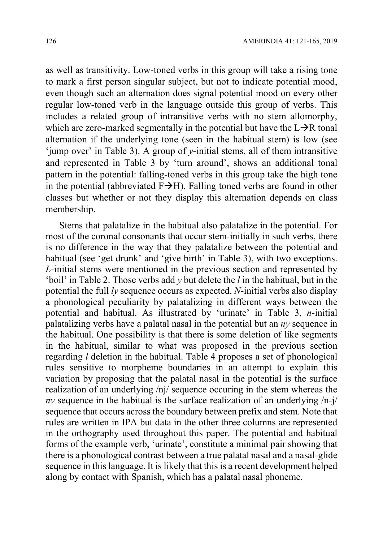as well as transitivity. Low-toned verbs in this group will take a rising tone to mark a first person singular subject, but not to indicate potential mood, even though such an alternation does signal potential mood on every other regular low-toned verb in the language outside this group of verbs. This includes a related group of intransitive verbs with no stem allomorphy, which are zero-marked segmentally in the potential but have the  $L\rightarrow R$  tonal alternation if the underlying tone (seen in the habitual stem) is low (see 'jump over' in Table 3). A group of  $\nu$ -initial stems, all of them intransitive and represented in Table 3 by 'turn around', shows an additional tonal pattern in the potential: falling-toned verbs in this group take the high tone in the potential (abbreviated  $F\rightarrow H$ ). Falling toned verbs are found in other classes but whether or not they display this alternation depends on class membership.

Stems that palatalize in the habitual also palatalize in the potential. For most of the coronal consonants that occur stem-initially in such verbs, there is no difference in the way that they palatalize between the potential and habitual (see 'get drunk' and 'give birth' in Table 3), with two exceptions. L-initial stems were mentioned in the previous section and represented by 'boil' in Table 2. Those verbs add  $\nu$  but delete the *l* in the habitual, but in the potential the full  $\ell y$  sequence occurs as expected. *N*-initial verbs also display a phonological peculiarity by palatalizing in different ways between the potential and habitual. As illustrated by 'urinate' in Table 3, n-initial palatalizing verbs have a palatal nasal in the potential but an  $ny$  sequence in the habitual. One possibility is that there is some deletion of like segments in the habitual, similar to what was proposed in the previous section regarding l deletion in the habitual. Table 4 proposes a set of phonological rules sensitive to morpheme boundaries in an attempt to explain this variation by proposing that the palatal nasal in the potential is the surface realization of an underlying /nj/ sequence occuring in the stem whereas the ny sequence in the habitual is the surface realization of an underlying  $\langle n-i \rangle$ sequence that occurs across the boundary between prefix and stem. Note that rules are written in IPA but data in the other three columns are represented in the orthography used throughout this paper. The potential and habitual forms of the example verb, 'urinate', constitute a minimal pair showing that there is a phonological contrast between a true palatal nasal and a nasal-glide sequence in this language. It is likely that this is a recent development helped along by contact with Spanish, which has a palatal nasal phoneme.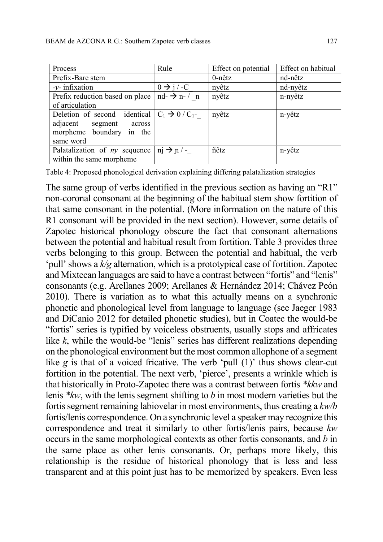| Process                                               | Rule                               | Effect on potential | Effect on habitual |
|-------------------------------------------------------|------------------------------------|---------------------|--------------------|
| Prefix-Bare stem                                      |                                    | $0$ -nêtz           | nd-nêtz            |
| $-y$ - infixation                                     | $0 \rightarrow j$ / -C             | nyêtz               | nd-nyêtz           |
| Prefix reduction based on place                       | $nd$ - $\rightarrow$ n- $\prime$ n | nyêtz               | n-nyêtz            |
| of articulation                                       |                                    |                     |                    |
| Deletion of second identical $ C_1 \rightarrow 0/C_1$ |                                    | nyêtz               | n-yêtz             |
| adjacent segment<br>across                            |                                    |                     |                    |
| morpheme boundary in the                              |                                    |                     |                    |
| same word                                             |                                    |                     |                    |
| Palatalization of $ny$ sequence                       | $\pi i \rightarrow \pi/$           | ñêtz                | n-yêtz             |
| within the same morpheme                              |                                    |                     |                    |

Table 4: Proposed phonological derivation explaining differing palatalization strategies

The same group of verbs identified in the previous section as having an "R1" non-coronal consonant at the beginning of the habitual stem show fortition of that same consonant in the potential. (More information on the nature of this R1 consonant will be provided in the next section). However, some details of Zapotec historical phonology obscure the fact that consonant alternations between the potential and habitual result from fortition. Table 3 provides three verbs belonging to this group. Between the potential and habitual, the verb 'pull' shows a  $k/g$  alternation, which is a prototypical case of fortition. Zapotec and Mixtecan languages are said to have a contrast between "fortis" and "lenis" consonants (e.g. Arellanes 2009; Arellanes & Hernández 2014; Chávez Peón 2010). There is variation as to what this actually means on a synchronic phonetic and phonological level from language to language (see Jaeger 1983 and DiCanio 2012 for detailed phonetic studies), but in Coatec the would-be "fortis" series is typified by voiceless obstruents, usually stops and affricates like  $k$ , while the would-be "lenis" series has different realizations depending on the phonological environment but the most common allophone of a segment like  $g$  is that of a voiced fricative. The verb 'pull  $(1)$ ' thus shows clear-cut fortition in the potential. The next verb, 'pierce', presents a wrinkle which is that historically in Proto-Zapotec there was a contrast between fortis \*kkw and lenis  $*kw$ , with the lenis segment shifting to b in most modern varieties but the fortis segment remaining labiovelar in most environments, thus creating a kw/b fortis/lenis correspondence. On a synchronic level a speaker may recognize this correspondence and treat it similarly to other fortis/lenis pairs, because kw occurs in the same morphological contexts as other fortis consonants, and b in the same place as other lenis consonants. Or, perhaps more likely, this relationship is the residue of historical phonology that is less and less transparent and at this point just has to be memorized by speakers. Even less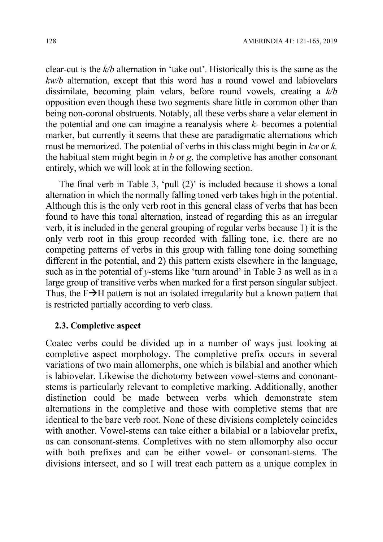clear-cut is the  $k/b$  alternation in 'take out'. Historically this is the same as the kw/b alternation, except that this word has a round vowel and labiovelars dissimilate, becoming plain velars, before round vowels, creating a  $k/b$ opposition even though these two segments share little in common other than being non-coronal obstruents. Notably, all these verbs share a velar element in the potential and one can imagine a reanalysis where  $k$ - becomes a potential marker, but currently it seems that these are paradigmatic alternations which must be memorized. The potential of verbs in this class might begin in  $kw$  or  $k$ , the habitual stem might begin in  $b$  or  $g$ , the completive has another consonant entirely, which we will look at in the following section.

The final verb in Table 3, 'pull (2)' is included because it shows a tonal alternation in which the normally falling toned verb takes high in the potential. Although this is the only verb root in this general class of verbs that has been found to have this tonal alternation, instead of regarding this as an irregular verb, it is included in the general grouping of regular verbs because 1) it is the only verb root in this group recorded with falling tone, i.e. there are no competing patterns of verbs in this group with falling tone doing something different in the potential, and 2) this pattern exists elsewhere in the language, such as in the potential of  $\nu$ -stems like 'turn around' in Table 3 as well as in a large group of transitive verbs when marked for a first person singular subject. Thus, the  $F\rightarrow H$  pattern is not an isolated irregularity but a known pattern that is restricted partially according to verb class.

#### 2.3. Completive aspect

Coatec verbs could be divided up in a number of ways just looking at completive aspect morphology. The completive prefix occurs in several variations of two main allomorphs, one which is bilabial and another which is labiovelar. Likewise the dichotomy between vowel-stems and cononantstems is particularly relevant to completive marking. Additionally, another distinction could be made between verbs which demonstrate stem alternations in the completive and those with completive stems that are identical to the bare verb root. None of these divisions completely coincides with another. Vowel-stems can take either a bilabial or a labiovelar prefix, as can consonant-stems. Completives with no stem allomorphy also occur with both prefixes and can be either vowel- or consonant-stems. The divisions intersect, and so I will treat each pattern as a unique complex in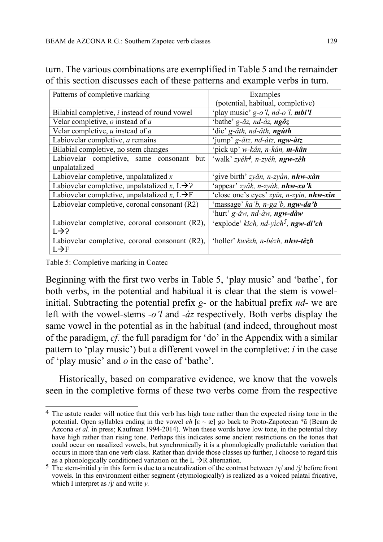| Patterns of completive marking                            | Examples                                          |
|-----------------------------------------------------------|---------------------------------------------------|
|                                                           | (potential, habitual, completive)                 |
| Bilabial completive, i instead of round vowel             | 'play music' g-o'l, nd-o'l, mbi'l                 |
| Velar completive, $o$ instead of $a$                      | 'bathe' g-ăz, nd-àz, ngôz                         |
| Velar completive, $u$ instead of $a$                      | 'die' g-âth, nd-âth, ngùth                        |
| Labiovelar completive, a remains                          | 'jump' g-ătz, nd-àtz, ngw-àtz                     |
| Bilabial completive, no stem changes                      | 'pick up' w-kân, n-kân, m-kân                     |
| Labiovelar completive, same consonant<br>but              | 'walk' zyéh <sup>4</sup> , n-zyèh, <b>ngw-zèh</b> |
| unpalatalized                                             |                                                   |
| Labiovelar completive, unpalatalized $x$                  | 'give birth' zyăn, n-zyàn, nhw-xàn                |
| Labiovelar completive, unpalatalized x, $L\rightarrow$ ?  | 'appear' zyăk, n-zyàk, nhw-xa'k                   |
| Labiovelar completive, unpalatalized x, $L \rightarrow F$ | 'close one's eyes' zyin, n-zyin, nhw-xîn          |
| Labiovelar completive, coronal consonant (R2)             | 'massage' ka'b, n-ga'b, ngw-da'b                  |
|                                                           | 'hurt' g-ăw, nd-àw, <b>ngw-dàw</b>                |
| Labiovelar completive, coronal consonant (R2),            | 'explode' kich, nd-yich <sup>5</sup> , ngw-di'ch  |
| $L\rightarrow$ ?                                          |                                                   |
| Labiovelar completive, coronal consonant (R2),            | 'holler' kwězh, n-bèzh, nhw-têzh                  |
| $L \rightarrow F$                                         |                                                   |

turn. The various combinations are exemplified in Table 5 and the remainder of this section discusses each of these patterns and example verbs in turn.

Table 5: Completive marking in Coatec

Beginning with the first two verbs in Table 5, 'play music' and 'bathe', for both verbs, in the potential and habitual it is clear that the stem is vowelinitial. Subtracting the potential prefix  $g$ - or the habitual prefix  $nd$ - we are left with the vowel-stems  $-\frac{\partial}{\partial t}$  and  $-\frac{\partial}{\partial z}$  respectively. Both verbs display the same vowel in the potential as in the habitual (and indeed, throughout most of the paradigm, cf. the full paradigm for 'do' in the Appendix with a similar pattern to 'play music') but a different vowel in the completive:  $i$  in the case of 'play music' and  $o$  in the case of 'bathe'.

Historically, based on comparative evidence, we know that the vowels seen in the completive forms of these two verbs come from the respective

 $\overline{a}$ 4 The astute reader will notice that this verb has high tone rather than the expected rising tone in the potential. Open syllables ending in the vowel  $eh$  [ $\varepsilon \sim \varepsilon$ ] go back to Proto-Zapotecan \* $\tilde{a}$  (Beam de Azcona *et al.* in press; Kaufman 1994-2014). When these words have low tone, in the potential they have high rather than rising tone. Perhaps this indicates some ancient restrictions on the tones that could occur on nasalized vowels, but synchronically it is a phonologically predictable variation that occurs in more than one verb class. Rather than divide those classes up further, I choose to regard this as a phonologically conditioned variation on the  $L \rightarrow R$  alternation.

<sup>5</sup> The stem-initial y in this form is due to a neutralization of the contrast between / $\chi$ / and /j/ before front vowels. In this environment either segment (etymologically) is realized as a voiced palatal fricative, which I interpret as  $\frac{1}{4}$  and write v.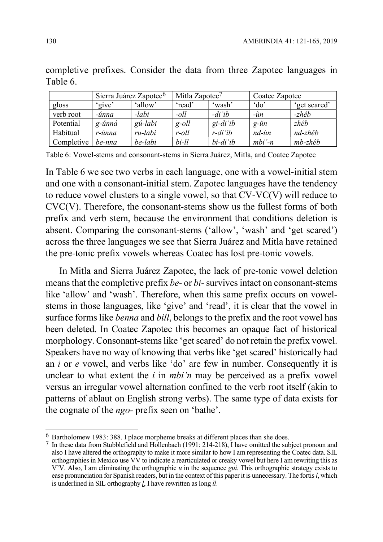|            |        | Sierra Juárez Zapotec <sup>6</sup> | Mitla Zapotec $7$ |          |                    | Coatec Zapotec |  |  |
|------------|--------|------------------------------------|-------------------|----------|--------------------|----------------|--|--|
| gloss      | 'give' | 'allow'                            | 'read'            | 'wash'   | $\partial$         | 'get scared'   |  |  |
| verb root  | -únna  | -labi                              | $-oll$            | $-di'ib$ | $-\dot{u}$ n       | -zhêb          |  |  |
| Potential  | g-únná | gú-labi                            | $g$ -oll          | gi-di'ib | $g$ - $\check{u}n$ | zhêb           |  |  |
| Habitual   | r-únna | ru-labi                            | r-oll             | r-di'ib  | $nd$ -ùn           | nd-zhêb        |  |  |
| Completive | be-nna | be-labi                            | $bi$ -ll          | bi-di'ib | $mbi -n$           | mb-zhêb        |  |  |

completive prefixes. Consider the data from three Zapotec languages in Table 6.

Table 6: Vowel-stems and consonant-stems in Sierra Juárez, Mitla, and Coatec Zapotec

In Table 6 we see two verbs in each language, one with a vowel-initial stem and one with a consonant-initial stem. Zapotec languages have the tendency to reduce vowel clusters to a single vowel, so that CV-VC(V) will reduce to CVC(V). Therefore, the consonant-stems show us the fullest forms of both prefix and verb stem, because the environment that conditions deletion is absent. Comparing the consonant-stems ('allow', 'wash' and 'get scared') across the three languages we see that Sierra Juárez and Mitla have retained the pre-tonic prefix vowels whereas Coatec has lost pre-tonic vowels.

In Mitla and Sierra Juárez Zapotec, the lack of pre-tonic vowel deletion means that the completive prefix be- or bi- survives intact on consonant-stems like 'allow' and 'wash'. Therefore, when this same prefix occurs on vowelstems in those languages, like 'give' and 'read', it is clear that the vowel in surface forms like *benna* and *bill*, belongs to the prefix and the root vowel has been deleted. In Coatec Zapotec this becomes an opaque fact of historical morphology. Consonant-stems like 'get scared' do not retain the prefix vowel. Speakers have no way of knowing that verbs like 'get scared' historically had an  $i$  or  $e$  vowel, and verbs like 'do' are few in number. Consequently it is unclear to what extent the  $i$  in *mbi'n* may be perceived as a prefix vowel versus an irregular vowel alternation confined to the verb root itself (akin to patterns of ablaut on English strong verbs). The same type of data exists for the cognate of the ngo- prefix seen on 'bathe'.

 $\overline{\phantom{a}}$  $6$  Bartholomew 1983: 388. I place morpheme breaks at different places than she does.

<sup>7</sup> In these data from Stubblefield and Hollenbach (1991: 214-218), I have omitted the subject pronoun and also I have altered the orthography to make it more similar to how I am representing the Coatec data. SIL orthographies in Mexico use VV to indicate a rearticulated or creaky vowel but here I am rewriting this as V'V. Also, I am eliminating the orthographic  $u$  in the sequence *gui*. This orthographic strategy exists to ease pronunciation for Spanish readers, but in the context of this paper it is unnecessary. The fortis l, which is underlined in SIL orthography *l*. I have rewritten as long *ll*.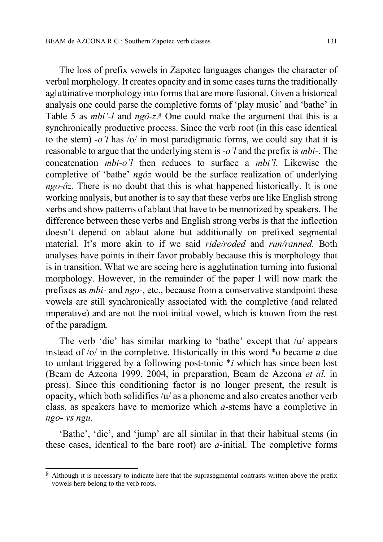The loss of prefix vowels in Zapotec languages changes the character of verbal morphology. It creates opacity and in some cases turns the traditionally agluttinative morphology into forms that are more fusional. Given a historical analysis one could parse the completive forms of 'play music' and 'bathe' in Table 5 as *mbi*'-l and ngô-z<sup>8</sup>. One could make the argument that this is a synchronically productive process. Since the verb root (in this case identical to the stem)  $-o'l$  has /o/ in most paradigmatic forms, we could say that it is reasonable to argue that the underlying stem is -o'l and the prefix is mbi-. The concatenation mbi-o'l then reduces to surface a mbi'l. Likewise the completive of 'bathe' ngôz would be the surface realization of underlying ngo-âz. There is no doubt that this is what happened historically. It is one working analysis, but another is to say that these verbs are like English strong verbs and show patterns of ablaut that have to be memorized by speakers. The difference between these verbs and English strong verbs is that the inflection doesn't depend on ablaut alone but additionally on prefixed segmental material. It's more akin to if we said *ride/roded* and *run/ranned*. Both analyses have points in their favor probably because this is morphology that is in transition. What we are seeing here is agglutination turning into fusional morphology. However, in the remainder of the paper I will now mark the prefixes as mbi- and ngo-, etc., because from a conservative standpoint these vowels are still synchronically associated with the completive (and related imperative) and are not the root-initial vowel, which is known from the rest of the paradigm.

The verb 'die' has similar marking to 'bathe' except that /u/ appears instead of  $\sqrt{\frac{1}{n}}$  the completive. Historically in this word \*o became u due to umlaut triggered by a following post-tonic  $\ast i$  which has since been lost (Beam de Azcona 1999, 2004, in preparation, Beam de Azcona et al. in press). Since this conditioning factor is no longer present, the result is opacity, which both solidifies /u/ as a phoneme and also creates another verb class, as speakers have to memorize which a-stems have a completive in ngo- vs ngu.

'Bathe', 'die', and 'jump' are all similar in that their habitual stems (in these cases, identical to the bare root) are  $a$ -initial. The completive forms

 $\overline{a}$ 

<sup>8</sup> Although it is necessary to indicate here that the suprasegmental contrasts written above the prefix vowels here belong to the verb roots.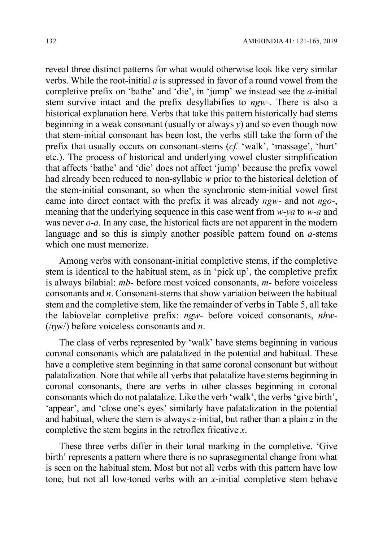reveal three distinct patterns for what would otherwise look like very similar verbs. While the root-initial  $\alpha$  is supressed in favor of a round vowel from the completive prefix on 'bathe' and 'die', in 'jump' we instead see the a-initial stem survive intact and the prefix desyllabifies to ngw-. There is also a historical explanation here. Verbs that take this pattern historically had stems beginning in a weak consonant (usually or always  $y$ ) and so even though now that stem-initial consonant has been lost, the verbs still take the form of the prefix that usually occurs on consonant-stems (cf. 'walk', 'massage', 'hurt' etc.). The process of historical and underlying vowel cluster simplification that affects 'bathe' and 'die' does not affect 'jump' because the prefix vowel had already been reduced to non-syllabic w prior to the historical deletion of the stem-initial consonant, so when the synchronic stem-initial vowel first came into direct contact with the prefix it was already ngw- and not ngo-, meaning that the underlying sequence in this case went from w-ya to w-a and was never *o-a*. In any case, the historical facts are not apparent in the modern language and so this is simply another possible pattern found on *a*-stems which one must memorize.

Among verbs with consonant-initial completive stems, if the completive stem is identical to the habitual stem, as in 'pick up', the completive prefix is always bilabial: mb- before most voiced consonants, m- before voiceless consonants and  $n$ . Consonant-stems that show variation between the habitual stem and the completive stem, like the remainder of verbs in Table 5, all take the labiovelar completive prefix: ngw- before voiced consonants, nhw-  $(\eta w)$  before voiceless consonants and *n*.

The class of verbs represented by 'walk' have stems beginning in various coronal consonants which are palatalized in the potential and habitual. These have a completive stem beginning in that same coronal consonant but without palatalization. Note that while all verbs that palatalize have stems beginning in coronal consonants, there are verbs in other classes beginning in coronal consonants which do not palatalize. Like the verb 'walk', the verbs 'give birth', 'appear', and 'close one's eyes' similarly have palatalization in the potential and habitual, where the stem is always  $z$ -initial, but rather than a plain  $z$  in the completive the stem begins in the retroflex fricative x.

These three verbs differ in their tonal marking in the completive. 'Give birth' represents a pattern where there is no suprasegmental change from what is seen on the habitual stem. Most but not all verbs with this pattern have low tone, but not all low-toned verbs with an x-initial completive stem behave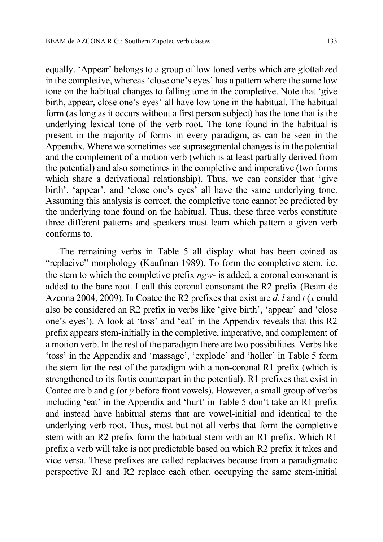equally. 'Appear' belongs to a group of low-toned verbs which are glottalized in the completive, whereas 'close one's eyes' has a pattern where the same low tone on the habitual changes to falling tone in the completive. Note that 'give birth, appear, close one's eyes' all have low tone in the habitual. The habitual form (as long as it occurs without a first person subject) has the tone that is the underlying lexical tone of the verb root. The tone found in the habitual is present in the majority of forms in every paradigm, as can be seen in the Appendix. Where we sometimes see suprasegmental changes is in the potential and the complement of a motion verb (which is at least partially derived from the potential) and also sometimes in the completive and imperative (two forms which share a derivational relationship). Thus, we can consider that 'give birth', 'appear', and 'close one's eyes' all have the same underlying tone. Assuming this analysis is correct, the completive tone cannot be predicted by the underlying tone found on the habitual. Thus, these three verbs constitute three different patterns and speakers must learn which pattern a given verb conforms to.

The remaining verbs in Table 5 all display what has been coined as "replacive" morphology (Kaufman 1989). To form the completive stem, i.e. the stem to which the completive prefix ngw- is added, a coronal consonant is added to the bare root. I call this coronal consonant the R2 prefix (Beam de Azcona 2004, 2009). In Coatec the R2 prefixes that exist are  $d, l$  and  $t$  (x could also be considered an R2 prefix in verbs like 'give birth', 'appear' and 'close one's eyes'). A look at 'toss' and 'eat' in the Appendix reveals that this R2 prefix appears stem-initially in the completive, imperative, and complement of a motion verb. In the rest of the paradigm there are two possibilities. Verbs like 'toss' in the Appendix and 'massage', 'explode' and 'holler' in Table 5 form the stem for the rest of the paradigm with a non-coronal R1 prefix (which is strengthened to its fortis counterpart in the potential). R1 prefixes that exist in Coatec are b and g (or y before front vowels). However, a small group of verbs including 'eat' in the Appendix and 'hurt' in Table 5 don't take an R1 prefix and instead have habitual stems that are vowel-initial and identical to the underlying verb root. Thus, most but not all verbs that form the completive stem with an R2 prefix form the habitual stem with an R1 prefix. Which R1 prefix a verb will take is not predictable based on which R2 prefix it takes and vice versa. These prefixes are called replacives because from a paradigmatic perspective R1 and R2 replace each other, occupying the same stem-initial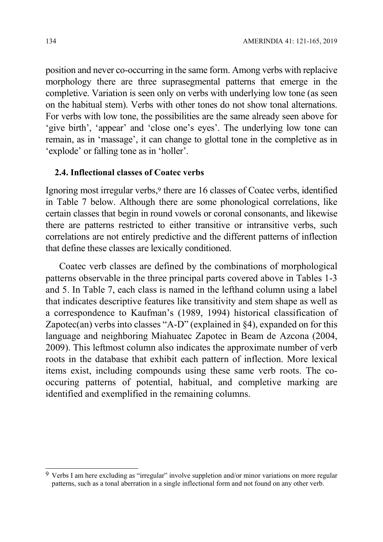position and never co-occurring in the same form. Among verbs with replacive morphology there are three suprasegmental patterns that emerge in the completive. Variation is seen only on verbs with underlying low tone (as seen on the habitual stem). Verbs with other tones do not show tonal alternations. For verbs with low tone, the possibilities are the same already seen above for 'give birth', 'appear' and 'close one's eyes'. The underlying low tone can remain, as in 'massage', it can change to glottal tone in the completive as in 'explode' or falling tone as in 'holler'.

### 2.4. Inflectional classes of Coatec verbs

Ignoring most irregular verbs,<sup>9</sup> there are 16 classes of Coatec verbs, identified in Table 7 below. Although there are some phonological correlations, like certain classes that begin in round vowels or coronal consonants, and likewise there are patterns restricted to either transitive or intransitive verbs, such correlations are not entirely predictive and the different patterns of inflection that define these classes are lexically conditioned.

Coatec verb classes are defined by the combinations of morphological patterns observable in the three principal parts covered above in Tables 1-3 and 5. In Table 7, each class is named in the lefthand column using a label that indicates descriptive features like transitivity and stem shape as well as a correspondence to Kaufman's (1989, 1994) historical classification of Zapotec(an) verbs into classes "A-D" (explained in  $\S 4$ ), expanded on for this language and neighboring Miahuatec Zapotec in Beam de Azcona (2004, 2009). This leftmost column also indicates the approximate number of verb roots in the database that exhibit each pattern of inflection. More lexical items exist, including compounds using these same verb roots. The cooccuring patterns of potential, habitual, and completive marking are identified and exemplified in the remaining columns.

 $\overline{a}$ 

<sup>9</sup> Verbs I am here excluding as "irregular" involve suppletion and/or minor variations on more regular patterns, such as a tonal aberration in a single inflectional form and not found on any other verb.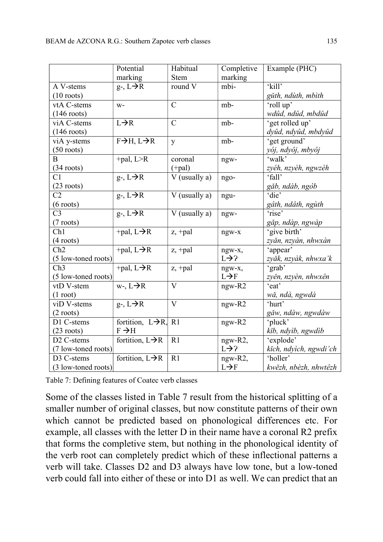|                        | Potential                         | Habitual                                                               | Completive        | Example (PHC)          |
|------------------------|-----------------------------------|------------------------------------------------------------------------|-------------------|------------------------|
|                        | marking                           | <b>Stem</b>                                                            | marking           |                        |
| A V-stems              | $g-, L\rightarrow R$              | round V                                                                | mbi-              | 'kill'                 |
| $(10 \text{ roots})$   |                                   |                                                                        |                   | gǔth, ndùth, mbìth     |
| vtA C-stems            | $W -$                             | $\mathcal{C}$                                                          | mb-               | 'roll up'              |
| $(146$ roots)          |                                   |                                                                        |                   | wdûd, ndûd, mbdûd      |
| viA C-stems            | $L\rightarrow R$                  | $\overline{C}$                                                         | mb-               | 'get rolled up'        |
| $(146 \text{ roots})$  |                                   |                                                                        |                   | dyûd, ndyûd, mbdyûd    |
| viA y-stems            | $F\rightarrow H, L\rightarrow R$  | y                                                                      | mb-               | 'get ground'           |
| $(50$ roots)           |                                   |                                                                        |                   | yój, ndyôj, mbyôj      |
| B                      | $+pal, L > R$                     | coronal                                                                | ngw-              | 'walk'                 |
| $(34$ roots)           |                                   | $(+pal)$                                                               |                   | zyéh, nzyèh, ngwzèh    |
| C <sub>1</sub>         | $g$ -, $L \rightarrow R$          | V (usually a)                                                          | ngo-              | 'fall'                 |
| $(23$ roots)           |                                   |                                                                        |                   | găb, ndàb, ngòb        |
| C <sub>2</sub>         | $g - L \rightarrow \overline{R}$  | V (usually a)                                                          | ngu-              | 'die'                  |
| $(6 \text{ roots})$    |                                   |                                                                        |                   | gâth, ndâth, ngùth     |
| C <sub>3</sub>         | $g - L \rightarrow \overline{R}$  | V (usually a)                                                          | ngw-              | 'rise'                 |
| $(7$ roots)            |                                   |                                                                        |                   | găp, ndàp, ngwàp       |
| Ch1                    | +pal, $L \rightarrow R$           | $\ensuremath{\mathbf{z}},\ensuremath{\mathbf{+p}\mathbf{a}\mathbf{l}}$ | ngw-x             | 'give birth'           |
| $(4$ roots)            |                                   |                                                                        |                   | zyăn, nzyàn, nhwxàn    |
| Ch2                    | +pal, $L\rightarrow \overline{R}$ | $z$ , +pal                                                             | ngw-x,            | 'appear'               |
| (5 low-toned roots)    |                                   |                                                                        | $L\rightarrow ?$  | zyăk, nzyàk, nhwxa'k   |
| Ch3                    | $+pal, L\rightarrow R$            | $z$ , +pal                                                             | ngw-x,            | 'grab'                 |
| (5 low-toned roots)    |                                   |                                                                        | $L \rightarrow F$ | zyěn, nzyèn, nhwxên    |
| vtD V-stem             | $w$ -, $L \rightarrow R$          | $\overline{\mathrm{V}}$                                                | $ngw-R2$          | 'eat'                  |
| $(1 \text{ root})$     |                                   |                                                                        |                   | wă, ndà, ngwdà         |
| viD V-stems            | $g$ -, $L \rightarrow R$          | $\mathbf V$                                                            | ngw-R2            | 'hurt'                 |
| $(2 \text{ roots})$    |                                   |                                                                        |                   | găw, ndàw, ngwdàw      |
| D1 C-stems             | fortition, $L\rightarrow R$ , R1  |                                                                        | ngw-R2            | 'pluck'                |
| $(23$ roots)           | $F \rightarrow H$                 |                                                                        |                   | kib, ndyìb, ngwdìb     |
| D <sub>2</sub> C-stems | fortition, $L \rightarrow R$      | R1                                                                     | ngw-R2,           | 'explode'              |
| (7 low-toned roots)    |                                   |                                                                        | $L\rightarrow$ ?  | kich, ndyìch, ngwdi'ch |
| D3 C-stems             | fortition, $L \rightarrow R$      | R1                                                                     | ngw-R2,           | 'holler'               |
| $(3$ low-toned roots)  |                                   |                                                                        | $L \rightarrow F$ | kwězh, nbèzh, nhwtêzh  |

Table 7: Defining features of Coatec verb classes

Some of the classes listed in Table 7 result from the historical splitting of a smaller number of original classes, but now constitute patterns of their own which cannot be predicted based on phonological differences etc. For example, all classes with the letter D in their name have a coronal R2 prefix that forms the completive stem, but nothing in the phonological identity of the verb root can completely predict which of these inflectional patterns a verb will take. Classes D2 and D3 always have low tone, but a low-toned verb could fall into either of these or into D1 as well. We can predict that an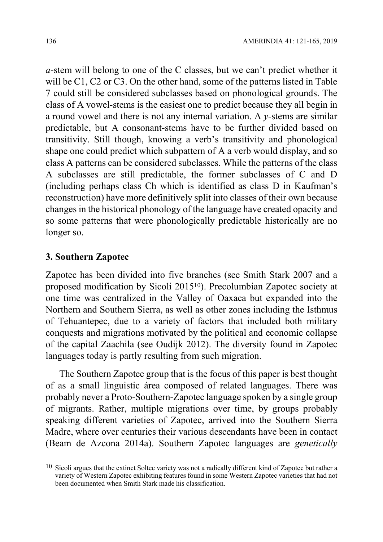a-stem will belong to one of the C classes, but we can't predict whether it will be C1, C2 or C3. On the other hand, some of the patterns listed in Table 7 could still be considered subclasses based on phonological grounds. The class of A vowel-stems is the easiest one to predict because they all begin in a round vowel and there is not any internal variation. A  $\nu$ -stems are similar predictable, but A consonant-stems have to be further divided based on transitivity. Still though, knowing a verb's transitivity and phonological shape one could predict which subpattern of A a verb would display, and so class A patterns can be considered subclasses. While the patterns of the class A subclasses are still predictable, the former subclasses of C and D (including perhaps class Ch which is identified as class D in Kaufman's reconstruction) have more definitively split into classes of their own because changes in the historical phonology of the language have created opacity and so some patterns that were phonologically predictable historically are no longer so.

### 3. Southern Zapotec

 $\overline{1}$ 

Zapotec has been divided into five branches (see Smith Stark 2007 and a proposed modification by Sicoli 201510). Precolumbian Zapotec society at one time was centralized in the Valley of Oaxaca but expanded into the Northern and Southern Sierra, as well as other zones including the Isthmus of Tehuantepec, due to a variety of factors that included both military conquests and migrations motivated by the political and economic collapse of the capital Zaachila (see Oudijk 2012). The diversity found in Zapotec languages today is partly resulting from such migration.

The Southern Zapotec group that is the focus of this paper is best thought of as a small linguistic área composed of related languages. There was probably never a Proto-Southern-Zapotec language spoken by a single group of migrants. Rather, multiple migrations over time, by groups probably speaking different varieties of Zapotec, arrived into the Southern Sierra Madre, where over centuries their various descendants have been in contact (Beam de Azcona 2014a). Southern Zapotec languages are genetically

 $10$  Sicoli argues that the extinct Soltec variety was not a radically different kind of Zapotec but rather a variety of Western Zapotec exhibiting features found in some Western Zapotec varieties that had not been documented when Smith Stark made his classification.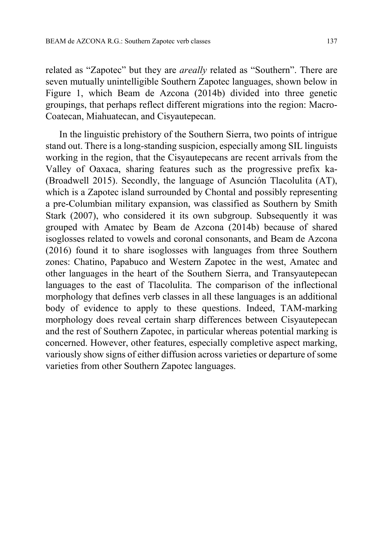related as "Zapotec" but they are *areally* related as "Southern". There are seven mutually unintelligible Southern Zapotec languages, shown below in Figure 1, which Beam de Azcona (2014b) divided into three genetic groupings, that perhaps reflect different migrations into the region: Macro-Coatecan, Miahuatecan, and Cisyautepecan.

In the linguistic prehistory of the Southern Sierra, two points of intrigue stand out. There is a long-standing suspicion, especially among SIL linguists working in the region, that the Cisyautepecans are recent arrivals from the Valley of Oaxaca, sharing features such as the progressive prefix ka- (Broadwell 2015). Secondly, the language of Asunción Tlacolulita (AT), which is a Zapotec island surrounded by Chontal and possibly representing a pre-Columbian military expansion, was classified as Southern by Smith Stark (2007), who considered it its own subgroup. Subsequently it was grouped with Amatec by Beam de Azcona (2014b) because of shared isoglosses related to vowels and coronal consonants, and Beam de Azcona (2016) found it to share isoglosses with languages from three Southern zones: Chatino, Papabuco and Western Zapotec in the west, Amatec and other languages in the heart of the Southern Sierra, and Transyautepecan languages to the east of Tlacolulita. The comparison of the inflectional morphology that defines verb classes in all these languages is an additional body of evidence to apply to these questions. Indeed, TAM-marking morphology does reveal certain sharp differences between Cisyautepecan and the rest of Southern Zapotec, in particular whereas potential marking is concerned. However, other features, especially completive aspect marking, variously show signs of either diffusion across varieties or departure of some varieties from other Southern Zapotec languages.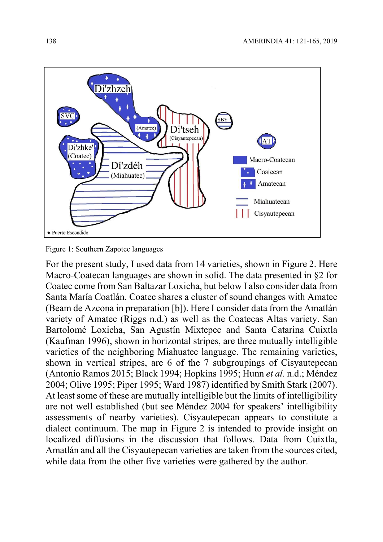

Figure 1: Southern Zapotec languages

For the present study, I used data from 14 varieties, shown in Figure 2. Here Macro-Coatecan languages are shown in solid. The data presented in §2 for Coatec come from San Baltazar Loxicha, but below I also consider data from Santa María Coatlán. Coatec shares a cluster of sound changes with Amatec (Beam de Azcona in preparation [b]). Here I consider data from the Amatlán variety of Amatec (Riggs n.d.) as well as the Coatecas Altas variety. San Bartolomé Loxicha, San Agustín Mixtepec and Santa Catarina Cuixtla (Kaufman 1996), shown in horizontal stripes, are three mutually intelligible varieties of the neighboring Miahuatec language. The remaining varieties, shown in vertical stripes, are 6 of the 7 subgroupings of Cisyautepecan (Antonio Ramos 2015; Black 1994; Hopkins 1995; Hunn et al. n.d.; Méndez 2004; Olive 1995; Piper 1995; Ward 1987) identified by Smith Stark (2007). At least some of these are mutually intelligible but the limits of intelligibility are not well established (but see Méndez 2004 for speakers' intelligibility assessments of nearby varieties). Cisyautepecan appears to constitute a dialect continuum. The map in Figure 2 is intended to provide insight on localized diffusions in the discussion that follows. Data from Cuixtla, Amatlán and all the Cisyautepecan varieties are taken from the sources cited, while data from the other five varieties were gathered by the author.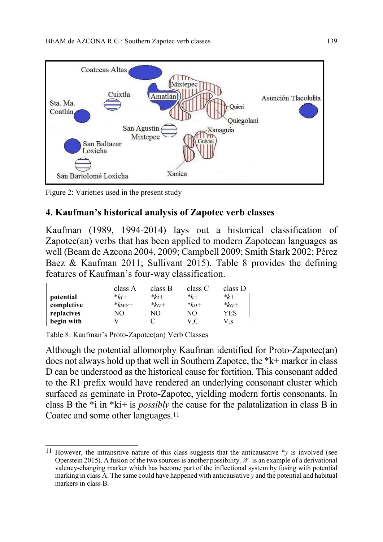

Figure 2: Varieties used in the present study

# 4. Kaufman's historical analysis of Zapotec verb classes

Kaufman (1989, 1994-2014) lays out a historical classification of Zapotec(an) verbs that has been applied to modern Zapotecan languages as well (Beam de Azcona 2004, 2009; Campbell 2009; Smith Stark 2002; Pérez Baez & Kaufman 2011; Sullivant 2015). Table 8 provides the defining features of Kaufman's four-way classification.

|            | class A   | class B   | class C   | class D   |
|------------|-----------|-----------|-----------|-----------|
| potential  | $*_{ki+}$ | $*_{ki+}$ | $*_{k+}$  | $*_{k+}$  |
| completive | $*$ kwe+  | $*_{k0+}$ | $*_{ko+}$ | $*_{ko+}$ |
| replacives | NО        | NО        | NO.       | YES       |
| begin with |           |           | V.C       | V,s       |

Table 8: Kaufman's Proto-Zapotec(an) Verb Classes

Although the potential allomorphy Kaufman identified for Proto-Zapotec(an) does not always hold up that well in Southern Zapotec, the \*k+ marker in class D can be understood as the historical cause for fortition. This consonant added to the R1 prefix would have rendered an underlying consonant cluster which surfaced as geminate in Proto-Zapotec, yielding modern fortis consonants. In class B the \*i in \*ki+ is possibly the cause for the palatalization in class B in Coatec and some other languages.<sup>11</sup>

 $\overline{1}$ <sup>11</sup> However, the intransitive nature of this class suggests that the anticausative  $*_y$  is involved (see Operstein 2015). A fusion of the two sources is another possibility. W- is an example of a derivational valency-changing marker which has become part of the inflectional system by fusing with potential marking in class A. The same could have happened with anticausative y and the potential and habitual markers in class B.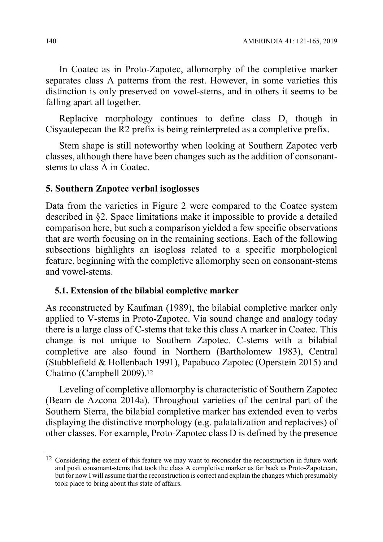In Coatec as in Proto-Zapotec, allomorphy of the completive marker separates class A patterns from the rest. However, in some varieties this distinction is only preserved on vowel-stems, and in others it seems to be falling apart all together.

Replacive morphology continues to define class D, though in Cisyautepecan the R2 prefix is being reinterpreted as a completive prefix.

Stem shape is still noteworthy when looking at Southern Zapotec verb classes, although there have been changes such as the addition of consonantstems to class A in Coatec.

# 5. Southern Zapotec verbal isoglosses

Data from the varieties in Figure 2 were compared to the Coatec system described in §2. Space limitations make it impossible to provide a detailed comparison here, but such a comparison yielded a few specific observations that are worth focusing on in the remaining sections. Each of the following subsections highlights an isogloss related to a specific morphological feature, beginning with the completive allomorphy seen on consonant-stems and vowel-stems.

# 5.1. Extension of the bilabial completive marker

As reconstructed by Kaufman (1989), the bilabial completive marker only applied to V-stems in Proto-Zapotec. Via sound change and analogy today there is a large class of C-stems that take this class A marker in Coatec. This change is not unique to Southern Zapotec. C-stems with a bilabial completive are also found in Northern (Bartholomew 1983), Central (Stubblefield & Hollenbach 1991), Papabuco Zapotec (Operstein 2015) and Chatino (Campbell 2009).<sup>12</sup>

Leveling of completive allomorphy is characteristic of Southern Zapotec (Beam de Azcona 2014a). Throughout varieties of the central part of the Southern Sierra, the bilabial completive marker has extended even to verbs displaying the distinctive morphology (e.g. palatalization and replacives) of other classes. For example, Proto-Zapotec class D is defined by the presence

 $\overline{1}$ <sup>12</sup> Considering the extent of this feature we may want to reconsider the reconstruction in future work and posit consonant-stems that took the class A completive marker as far back as Proto-Zapotecan, but for now I will assume that the reconstruction is correct and explain the changes which presumably took place to bring about this state of affairs.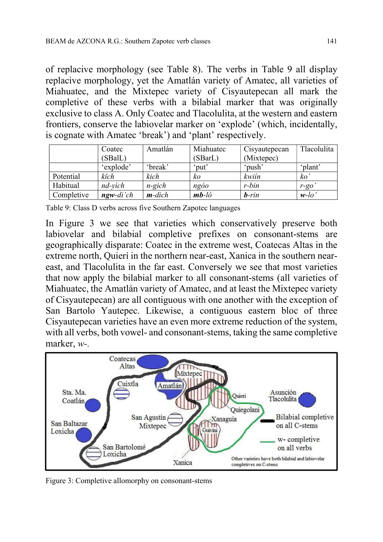of replacive morphology (see Table 8). The verbs in Table 9 all display replacive morphology, yet the Amatlán variety of Amatec, all varieties of Miahuatec, and the Mixtepec variety of Cisyautepecan all mark the completive of these verbs with a bilabial marker that was originally exclusive to class A. Only Coatec and Tlacolulita, at the western and eastern frontiers, conserve the labiovelar marker on 'explode' (which, incidentally, is cognate with Amatec 'break') and 'plant' respectively.

|            | Coatec            | Amatlán   | Miahuatec | Cisyautepecan | Tlacolulita |
|------------|-------------------|-----------|-----------|---------------|-------------|
|            | (SBalL)           |           | (SBarL)   | (Mixtepec)    |             |
|            | 'explode'         | 'break'   | 'put'     | 'push'        | 'plant'     |
| Potential  | kĭch              | kich      | KΟ        | kwiín         | ko          |
| Habitual   | $nd$ -vìch        | $n$ -gich | ngóo      | r-bin         | $r$ -go     |
| Completive | <b>ngw-</b> di'ch | $m$ -dich | $mb-l$ ó  | $b-rin$       | $w$ -lo     |

Table 9: Class D verbs across five Southern Zapotec languages

In Figure 3 we see that varieties which conservatively preserve both labiovelar and bilabial completive prefixes on consonant-stems are geographically disparate: Coatec in the extreme west, Coatecas Altas in the extreme north, Quierí in the northern near-east, Xanica in the southern neareast, and Tlacolulita in the far east. Conversely we see that most varieties that now apply the bilabial marker to all consonant-stems (all varieties of Miahuatec, the Amatlán variety of Amatec, and at least the Mixtepec variety of Cisyautepecan) are all contiguous with one another with the exception of San Bartolo Yautepec. Likewise, a contiguous eastern bloc of three Cisyautepecan varieties have an even more extreme reduction of the system, with all verbs, both vowel- and consonant-stems, taking the same completive marker, w-.



Figure 3: Completive allomorphy on consonant-stems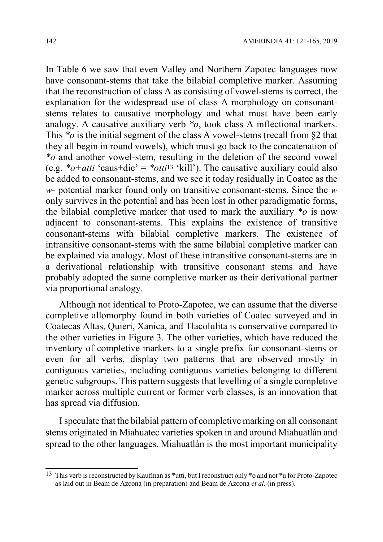In Table 6 we saw that even Valley and Northern Zapotec languages now have consonant-stems that take the bilabial completive marker. Assuming that the reconstruction of class A as consisting of vowel-stems is correct, the explanation for the widespread use of class A morphology on consonantstems relates to causative morphology and what must have been early analogy. A causative auxiliary verb  $*_{o}$ , took class A inflectional markers. This  $*$ o is the initial segment of the class A vowel-stems (recall from  $\S$ 2 that they all begin in round vowels), which must go back to the concatenation of \*o and another vowel-stem, resulting in the deletion of the second vowel (e.g.  $*_{0}$ +atti 'caus+die' =  $*_{0}$ tti<sup>13</sup> 'kill'). The causative auxiliary could also be added to consonant-stems, and we see it today residually in Coatec as the  $w$ - potential marker found only on transitive consonant-stems. Since the  $w$ only survives in the potential and has been lost in other paradigmatic forms, the bilabial completive marker that used to mark the auxiliary  $*_o$  is now adjacent to consonant-stems. This explains the existence of transitive consonant-stems with bilabial completive markers. The existence of intransitive consonant-stems with the same bilabial completive marker can be explained via analogy. Most of these intransitive consonant-stems are in a derivational relationship with transitive consonant stems and have probably adopted the same completive marker as their derivational partner via proportional analogy.

Although not identical to Proto-Zapotec, we can assume that the diverse completive allomorphy found in both varieties of Coatec surveyed and in Coatecas Altas, Quierí, Xanica, and Tlacolulita is conservative compared to the other varieties in Figure 3. The other varieties, which have reduced the inventory of completive markers to a single prefix for consonant-stems or even for all verbs, display two patterns that are observed mostly in contiguous varieties, including contiguous varieties belonging to different genetic subgroups. This pattern suggests that levelling of a single completive marker across multiple current or former verb classes, is an innovation that has spread via diffusion.

I speculate that the bilabial pattern of completive marking on all consonant stems originated in Miahuatec varieties spoken in and around Miahuatlán and spread to the other languages. Miahuatlán is the most important municipality

 $\overline{1}$ 

<sup>&</sup>lt;sup>13</sup> This verb is reconstructed by Kaufman as \*utti, but I reconstruct only \*o and not \*u for Proto-Zapotec as laid out in Beam de Azcona (in preparation) and Beam de Azcona et al. (in press).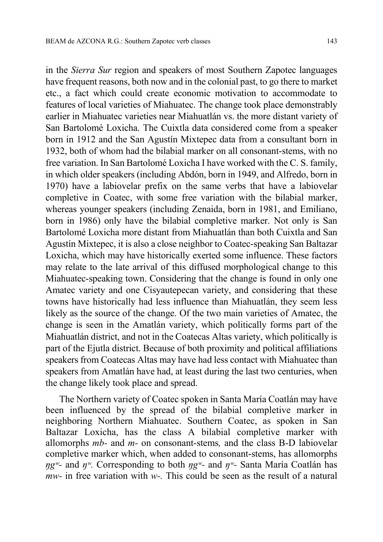in the Sierra Sur region and speakers of most Southern Zapotec languages have frequent reasons, both now and in the colonial past, to go there to market etc., a fact which could create economic motivation to accommodate to features of local varieties of Miahuatec. The change took place demonstrably earlier in Miahuatec varieties near Miahuatlán vs. the more distant variety of San Bartolomé Loxicha. The Cuixtla data considered come from a speaker born in 1912 and the San Agustín Mixtepec data from a consultant born in 1932, both of whom had the bilabial marker on all consonant-stems, with no free variation. In San Bartolomé Loxicha I have worked with the C. S. family, in which older speakers (including Abdón, born in 1949, and Alfredo, born in 1970) have a labiovelar prefix on the same verbs that have a labiovelar completive in Coatec, with some free variation with the bilabial marker, whereas younger speakers (including Zenaida, born in 1981, and Emiliano, born in 1986) only have the bilabial completive marker. Not only is San Bartolomé Loxicha more distant from Miahuatlán than both Cuixtla and San Agustín Mixtepec, it is also a close neighbor to Coatec-speaking San Baltazar Loxicha, which may have historically exerted some influence. These factors may relate to the late arrival of this diffused morphological change to this Miahuatec-speaking town. Considering that the change is found in only one Amatec variety and one Cisyautepecan variety, and considering that these towns have historically had less influence than Miahuatlán, they seem less likely as the source of the change. Of the two main varieties of Amatec, the change is seen in the Amatlán variety, which politically forms part of the Miahuatlán district, and not in the Coatecas Altas variety, which politically is part of the Ejutla district. Because of both proximity and political affiliations speakers from Coatecas Altas may have had less contact with Miahuatec than speakers from Amatlán have had, at least during the last two centuries, when the change likely took place and spread.

The Northern variety of Coatec spoken in Santa María Coatlán may have been influenced by the spread of the bilabial completive marker in neighboring Northern Miahuatec. Southern Coatec, as spoken in San Baltazar Loxicha, has the class A bilabial completive marker with allomorphs mb- and m- on consonant-stems, and the class B-D labiovelar completive marker which, when added to consonant-stems, has allomorphs  $\eta g^w$ - and  $\eta^w$ . Corresponding to both  $\eta g^w$ - and  $\eta^w$ - Santa María Coatlán has *mw*- in free variation with *w*-. This could be seen as the result of a natural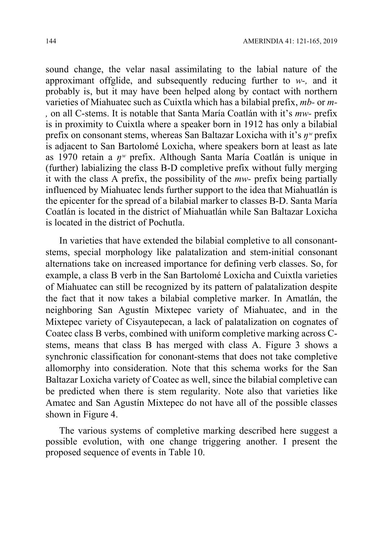sound change, the velar nasal assimilating to the labial nature of the approximant offglide, and subsequently reducing further to  $w$ -, and it probably is, but it may have been helped along by contact with northern varieties of Miahuatec such as Cuixtla which has a bilabial prefix, mb- or m- , on all C-stems. It is notable that Santa María Coatlán with it's mw- prefix is in proximity to Cuixtla where a speaker born in 1912 has only a bilabial prefix on consonant stems, whereas San Baltazar Loxicha with it's  $\eta^w$  prefix is adjacent to San Bartolomé Loxicha, where speakers born at least as late as 1970 retain a  $\eta^w$  prefix. Although Santa María Coatlán is unique in (further) labializing the class B-D completive prefix without fully merging it with the class A prefix, the possibility of the mw- prefix being partially influenced by Miahuatec lends further support to the idea that Miahuatlán is the epicenter for the spread of a bilabial marker to classes B-D. Santa María Coatlán is located in the district of Miahuatlán while San Baltazar Loxicha is located in the district of Pochutla.

In varieties that have extended the bilabial completive to all consonantstems, special morphology like palatalization and stem-initial consonant alternations take on increased importance for defining verb classes. So, for example, a class B verb in the San Bartolomé Loxicha and Cuixtla varieties of Miahuatec can still be recognized by its pattern of palatalization despite the fact that it now takes a bilabial completive marker. In Amatlán, the neighboring San Agustín Mixtepec variety of Miahuatec, and in the Mixtepec variety of Cisyautepecan, a lack of palatalization on cognates of Coatec class B verbs, combined with uniform completive marking across Cstems, means that class B has merged with class A. Figure 3 shows a synchronic classification for cononant-stems that does not take completive allomorphy into consideration. Note that this schema works for the San Baltazar Loxicha variety of Coatec as well, since the bilabial completive can be predicted when there is stem regularity. Note also that varieties like Amatec and San Agustín Mixtepec do not have all of the possible classes shown in Figure 4.

The various systems of completive marking described here suggest a possible evolution, with one change triggering another. I present the proposed sequence of events in Table 10.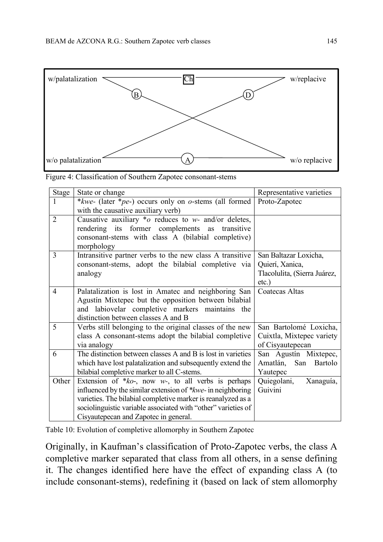

| Stage          | State or change                                                     | Representative varieties     |
|----------------|---------------------------------------------------------------------|------------------------------|
| 1              | *kwe- (later *pe-) occurs only on o-stems (all formed               | Proto-Zapotec                |
|                | with the causative auxiliary verb)                                  |                              |
| $\overline{2}$ | Causative auxiliary $*$ o reduces to w- and/or deletes,             |                              |
|                | rendering its former complements as transitive                      |                              |
|                | consonant-stems with class A (bilabial completive)                  |                              |
|                | morphology                                                          |                              |
| $\overline{3}$ | Intransitive partner verbs to the new class A transitive            | San Baltazar Loxicha,        |
|                | consonant-stems, adopt the bilabial completive via                  | Quierí, Xanica,              |
|                | analogy                                                             | Tlacolulita, (Sierra Juárez, |
|                |                                                                     | $etc.$ )                     |
| $\overline{4}$ | Palatalization is lost in Amatec and neighboring San                | <b>Coatecas Altas</b>        |
|                | Agustín Mixtepec but the opposition between bilabial                |                              |
|                | and labiovelar completive markers maintains the                     |                              |
|                | distinction between classes A and B                                 |                              |
| 5              | Verbs still belonging to the original classes of the new            | San Bartolomé Loxicha,       |
|                | class A consonant-stems adopt the bilabial completive               | Cuixtla, Mixtepec variety    |
|                | via analogy                                                         | of Cisyautepecan             |
| 6              | The distinction between classes A and B is lost in varieties        | San Agustín Mixtepec,        |
|                | which have lost palatalization and subsequently extend the          | Bartolo<br>Amatlán, San      |
|                | bilabial completive marker to all C-stems.                          | Yautepec                     |
| Other          | Extension of $*ko$ , now w-, to all verbs is perhaps                | Quiegolani,<br>Xanaguía,     |
|                | influenced by the similar extension of <i>*kwe</i> - in neighboring | Guivini                      |
|                | varieties. The bilabial completive marker is reanalyzed as a        |                              |
|                | sociolinguistic variable associated with "other" varieties of       |                              |
|                | Cisyautepecan and Zapotec in general.                               |                              |

Table 10: Evolution of completive allomorphy in Southern Zapotec

Originally, in Kaufman's classification of Proto-Zapotec verbs, the class A completive marker separated that class from all others, in a sense defining it. The changes identified here have the effect of expanding class A (to include consonant-stems), redefining it (based on lack of stem allomorphy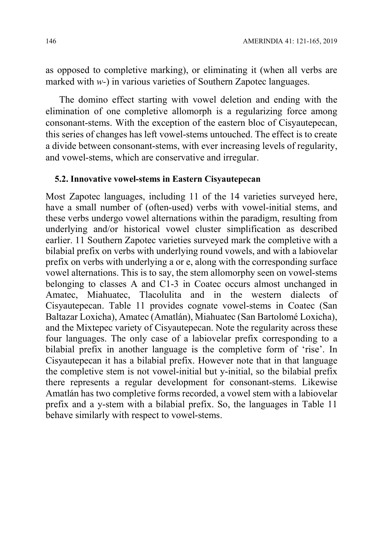as opposed to completive marking), or eliminating it (when all verbs are marked with w-) in various varieties of Southern Zapotec languages.

The domino effect starting with vowel deletion and ending with the elimination of one completive allomorph is a regularizing force among consonant-stems. With the exception of the eastern bloc of Cisyautepecan, this series of changes has left vowel-stems untouched. The effect is to create a divide between consonant-stems, with ever increasing levels of regularity, and vowel-stems, which are conservative and irregular.

#### 5.2. Innovative vowel-stems in Eastern Cisyautepecan

Most Zapotec languages, including 11 of the 14 varieties surveyed here, have a small number of (often-used) verbs with vowel-initial stems, and these verbs undergo vowel alternations within the paradigm, resulting from underlying and/or historical vowel cluster simplification as described earlier. 11 Southern Zapotec varieties surveyed mark the completive with a bilabial prefix on verbs with underlying round vowels, and with a labiovelar prefix on verbs with underlying a or e, along with the corresponding surface vowel alternations. This is to say, the stem allomorphy seen on vowel-stems belonging to classes A and C1-3 in Coatec occurs almost unchanged in Amatec, Miahuatec, Tlacolulita and in the western dialects of Cisyautepecan. Table 11 provides cognate vowel-stems in Coatec (San Baltazar Loxicha), Amatec (Amatlán), Miahuatec (San Bartolomé Loxicha), and the Mixtepec variety of Cisyautepecan. Note the regularity across these four languages. The only case of a labiovelar prefix corresponding to a bilabial prefix in another language is the completive form of 'rise'. In Cisyautepecan it has a bilabial prefix. However note that in that language the completive stem is not vowel-initial but y-initial, so the bilabial prefix there represents a regular development for consonant-stems. Likewise Amatlán has two completive forms recorded, a vowel stem with a labiovelar prefix and a y-stem with a bilabial prefix. So, the languages in Table 11 behave similarly with respect to vowel-stems.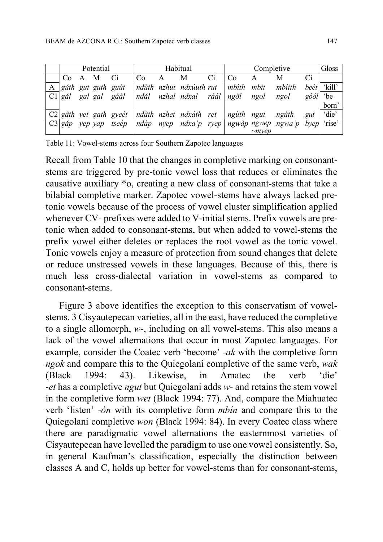| Habitual<br>Potential |  |           |                             |    |              | Completive                                                           |    |            | Gloss       |                                                                |                |           |
|-----------------------|--|-----------|-----------------------------|----|--------------|----------------------------------------------------------------------|----|------------|-------------|----------------------------------------------------------------|----------------|-----------|
|                       |  | Co A M Ci |                             | Co | $\mathbf{A}$ | M                                                                    | Ci | Co         | A           | М                                                              | Ci             |           |
|                       |  |           | A <i>guth gut guth guit</i> |    |              | ndùth nzhut ndxúuth rut                                              |    | mbìth mbit |             | mbiith                                                         | $be$ ét        | 'kill'    |
|                       |  |           | $ Cl $ găl gal gal gáál     |    |              | ndăl nzhal ndxal ráál ngŏl ngol                                      |    |            |             | ngol                                                           | $g\acute{o}ol$ | <i>be</i> |
|                       |  |           |                             |    |              |                                                                      |    |            |             |                                                                |                | born'     |
|                       |  |           |                             |    |              | $C2 g\hat{a}th$ yet gath gyeét   ndâth nzhet ndxáth ret   ngùth ngut |    |            |             | ngúth                                                          | gut            | 'die'     |
| $ C3 gdp$ yep yap     |  |           |                             |    |              |                                                                      |    |            |             | tseép   ndàp nyep ndxa'p ryep   ngwàp ngwep ngwa'p byep 'rise' |                |           |
|                       |  |           |                             |    |              |                                                                      |    |            | $\sim$ mvep |                                                                |                |           |

Table 11: Vowel-stems across four Southern Zapotec languages

Recall from Table 10 that the changes in completive marking on consonantstems are triggered by pre-tonic vowel loss that reduces or eliminates the causative auxiliary \*o, creating a new class of consonant-stems that take a bilabial completive marker. Zapotec vowel-stems have always lacked pretonic vowels because of the process of vowel cluster simplification applied whenever CV- prefixes were added to V-initial stems. Prefix vowels are pretonic when added to consonant-stems, but when added to vowel-stems the prefix vowel either deletes or replaces the root vowel as the tonic vowel. Tonic vowels enjoy a measure of protection from sound changes that delete or reduce unstressed vowels in these languages. Because of this, there is much less cross-dialectal variation in vowel-stems as compared to consonant-stems.

Figure 3 above identifies the exception to this conservatism of vowelstems. 3 Cisyautepecan varieties, all in the east, have reduced the completive to a single allomorph, w-, including on all vowel-stems. This also means a lack of the vowel alternations that occur in most Zapotec languages. For example, consider the Coatec verb 'become' -ak with the completive form ngok and compare this to the Quiegolani completive of the same verb, wak (Black 1994: 43). Likewise, in Amatec the verb 'die' -et has a completive *ngut* but Quiegolani adds w- and retains the stem vowel in the completive form wet (Black 1994: 77). And, compare the Miahuatec verb 'listen' -ón with its completive form mbín and compare this to the Quiegolani completive won (Black 1994: 84). In every Coatec class where there are paradigmatic vowel alternations the easternmost varieties of Cisyautepecan have levelled the paradigm to use one vowel consistently. So, in general Kaufman's classification, especially the distinction between classes A and C, holds up better for vowel-stems than for consonant-stems,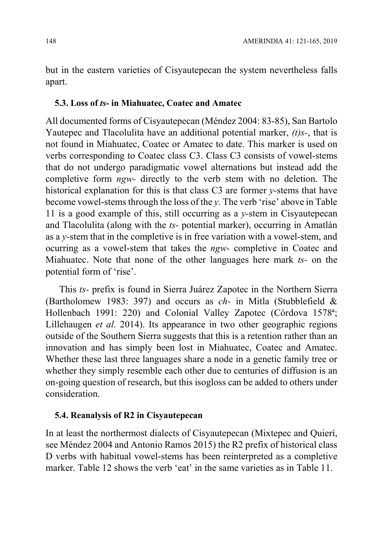but in the eastern varieties of Cisyautepecan the system nevertheless falls apart.

#### 5.3. Loss of ts- in Miahuatec, Coatec and Amatec

All documented forms of Cisyautepecan (Méndez 2004: 83-85), San Bartolo Yautepec and Tlacolulita have an additional potential marker,  $(t)$ s-, that is not found in Miahuatec, Coatec or Amatec to date. This marker is used on verbs corresponding to Coatec class C3. Class C3 consists of vowel-stems that do not undergo paradigmatic vowel alternations but instead add the completive form *ngw*- directly to the verb stem with no deletion. The historical explanation for this is that class C3 are former y-stems that have become vowel-stems through the loss of the y. The verb 'rise' above in Table 11 is a good example of this, still occurring as a  $y$ -stem in Cisyautepecan and Tlacolulita (along with the ts- potential marker), occurring in Amatlán as a y-stem that in the completive is in free variation with a vowel-stem, and ocurring as a vowel-stem that takes the ngw- completive in Coatec and Miahuatec. Note that none of the other languages here mark ts- on the potential form of 'rise'.

This ts- prefix is found in Sierra Juárez Zapotec in the Northern Sierra (Bartholomew 1983: 397) and occurs as ch- in Mitla (Stubblefield & Hollenbach 1991: 220) and Colonial Valley Zapotec (Córdova 1578ª; Lillehaugen et al. 2014). Its appearance in two other geographic regions outside of the Southern Sierra suggests that this is a retention rather than an innovation and has simply been lost in Miahuatec, Coatec and Amatec. Whether these last three languages share a node in a genetic family tree or whether they simply resemble each other due to centuries of diffusion is an on-going question of research, but this isogloss can be added to others under consideration.

#### 5.4. Reanalysis of R2 in Cisyautepecan

In at least the northermost dialects of Cisyautepecan (Mixtepec and Quierí, see Méndez 2004 and Antonio Ramos 2015) the R2 prefix of historical class D verbs with habitual vowel-stems has been reinterpreted as a completive marker. Table 12 shows the verb 'eat' in the same varieties as in Table 11.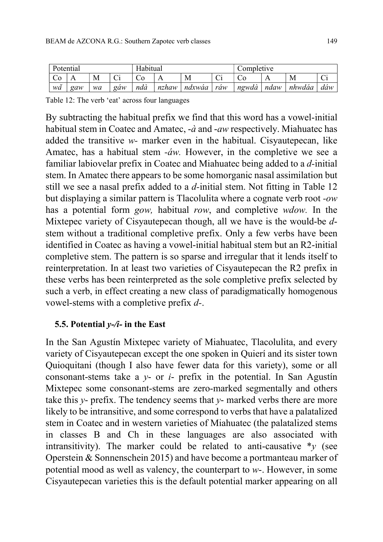| Potential |     |    | Habitual                  |     |       | Completive |                     |       |      |        |     |
|-----------|-----|----|---------------------------|-----|-------|------------|---------------------|-------|------|--------|-----|
|           | ∡ ⊾ | M  | $\sim$<br>$\mathsf{\sim}$ | UΟ  |       | Μ          | $\bigcap$<br>$\sim$ | U0    |      | М      |     |
| wă        | gaw | wa | gaw                       | ndà | nzhaw | ndxwaa     | raw                 | ngwdâ | ndaw | nhwdaa | dáw |

Table 12: The verb 'eat' across four languages

By subtracting the habitual prefix we find that this word has a vowel-initial habitual stem in Coatec and Amatec,  $-\dot{a}$  and  $-\dot{a}$  respectively. Miahuatec has added the transitive w- marker even in the habitual. Cisyautepecan, like Amatec, has a habitual stem -*áw*. However, in the completive we see a familiar labiovelar prefix in Coatec and Miahuatec being added to a d-initial stem. In Amatec there appears to be some homorganic nasal assimilation but still we see a nasal prefix added to a d-initial stem. Not fitting in Table 12 but displaying a similar pattern is Tlacolulita where a cognate verb root -ow has a potential form gow, habitual row, and completive wdow. In the Mixtepec variety of Cisyautepecan though, all we have is the would-be dstem without a traditional completive prefix. Only a few verbs have been identified in Coatec as having a vowel-initial habitual stem but an R2-initial completive stem. The pattern is so sparse and irregular that it lends itself to reinterpretation. In at least two varieties of Cisyautepecan the R2 prefix in these verbs has been reinterpreted as the sole completive prefix selected by such a verb, in effect creating a new class of paradigmatically homogenous vowel-stems with a completive prefix d-.

# 5.5. Potential  $y$ -/*i*- in the East

In the San Agustín Mixtepec variety of Miahuatec, Tlacolulita, and every variety of Cisyautepecan except the one spoken in Quierí and its sister town Quioquitani (though I also have fewer data for this variety), some or all consonant-stems take a  $y$ - or  $i$ - prefix in the potential. In San Agustín Mixtepec some consonant-stems are zero-marked segmentally and others take this  $y$ - prefix. The tendency seems that  $y$ - marked verbs there are more likely to be intransitive, and some correspond to verbs that have a palatalized stem in Coatec and in western varieties of Miahuatec (the palatalized stems in classes B and Ch in these languages are also associated with intransitivity). The marker could be related to anti-causative  $*_y$  (see Operstein & Sonnenschein 2015) and have become a portmanteau marker of potential mood as well as valency, the counterpart to  $w$ -. However, in some Cisyautepecan varieties this is the default potential marker appearing on all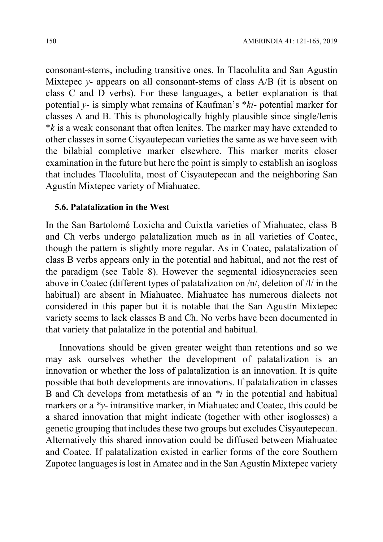consonant-stems, including transitive ones. In Tlacolulita and San Agustín Mixtepec  $y$ - appears on all consonant-stems of class  $A/B$  (it is absent on class C and D verbs). For these languages, a better explanation is that potential y- is simply what remains of Kaufman's  $*ki$ - potential marker for classes A and B. This is phonologically highly plausible since single/lenis  $*$ *k* is a weak consonant that often lenites. The marker may have extended to other classes in some Cisyautepecan varieties the same as we have seen with the bilabial completive marker elsewhere. This marker merits closer examination in the future but here the point is simply to establish an isogloss that includes Tlacolulita, most of Cisyautepecan and the neighboring San Agustín Mixtepec variety of Miahuatec.

#### 5.6. Palatalization in the West

In the San Bartolomé Loxicha and Cuixtla varieties of Miahuatec, class B and Ch verbs undergo palatalization much as in all varieties of Coatec, though the pattern is slightly more regular. As in Coatec, palatalization of class B verbs appears only in the potential and habitual, and not the rest of the paradigm (see Table 8). However the segmental idiosyncracies seen above in Coatec (different types of palatalization on /n/, deletion of /l/ in the habitual) are absent in Miahuatec. Miahuatec has numerous dialects not considered in this paper but it is notable that the San Agustín Mixtepec variety seems to lack classes B and Ch. No verbs have been documented in that variety that palatalize in the potential and habitual.

Innovations should be given greater weight than retentions and so we may ask ourselves whether the development of palatalization is an innovation or whether the loss of palatalization is an innovation. It is quite possible that both developments are innovations. If palatalization in classes B and Ch develops from metathesis of an  *in the potential and habitual* markers or a  $\alpha$  - intransitive marker, in Miahuatec and Coatec, this could be a shared innovation that might indicate (together with other isoglosses) a genetic grouping that includes these two groups but excludes Cisyautepecan. Alternatively this shared innovation could be diffused between Miahuatec and Coatec. If palatalization existed in earlier forms of the core Southern Zapotec languages is lost in Amatec and in the San Agustín Mixtepec variety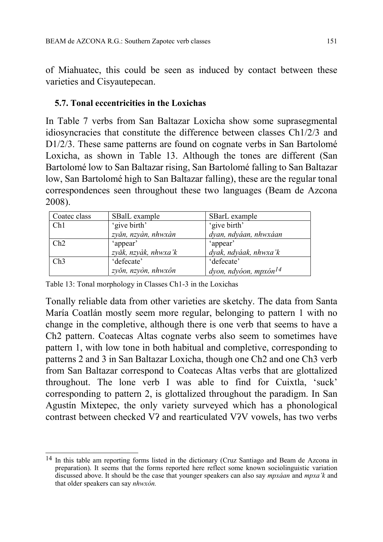of Miahuatec, this could be seen as induced by contact between these varieties and Cisyautepecan.

### 5.7. Tonal eccentricities in the Loxichas

In Table 7 verbs from San Baltazar Loxicha show some suprasegmental idiosyncracies that constitute the difference between classes Ch1/2/3 and D1/2/3. These same patterns are found on cognate verbs in San Bartolomé Loxicha, as shown in Table 13. Although the tones are different (San Bartolomé low to San Baltazar rising, San Bartolomé falling to San Baltazar low, San Bartolomé high to San Baltazar falling), these are the regular tonal correspondences seen throughout these two languages (Beam de Azcona 2008).

| Coatec class | SBalL example        | SBarL example                     |
|--------------|----------------------|-----------------------------------|
| Ch1          | 'give birth'         | 'give birth'                      |
|              | zyăn, nzyàn, nhwxàn  | dyan, ndyáan, nhwxáan             |
| Ch2          | 'appear'             | 'appear'                          |
|              | zyăk, nzyàk, nhwxa'k | dyak, ndyáak, nhwxa'k             |
| Ch3          | 'defecate'           | 'defecate'                        |
|              | zyŏn, nzyòn, nhwxôn  | dyon, ndyóon, mpxón <sup>14</sup> |

Table 13: Tonal morphology in Classes Ch1-3 in the Loxichas

Tonally reliable data from other varieties are sketchy. The data from Santa María Coatlán mostly seem more regular, belonging to pattern 1 with no change in the completive, although there is one verb that seems to have a Ch2 pattern. Coatecas Altas cognate verbs also seem to sometimes have pattern 1, with low tone in both habitual and completive, corresponding to patterns 2 and 3 in San Baltazar Loxicha, though one Ch2 and one Ch3 verb from San Baltazar correspond to Coatecas Altas verbs that are glottalized throughout. The lone verb I was able to find for Cuixtla, 'suck' corresponding to pattern 2, is glottalized throughout the paradigm. In San Agustín Mixtepec, the only variety surveyed which has a phonological contrast between checked Vʔ and rearticulated VʔV vowels, has two verbs

 $\overline{1}$ 14 In this table am reporting forms listed in the dictionary (Cruz Santiago and Beam de Azcona in preparation). It seems that the forms reported here reflect some known sociolinguistic variation discussed above. It should be the case that younger speakers can also say  $mpxáan$  and  $mpxa$ <sup>'k</sup> and that older speakers can say nhwxón.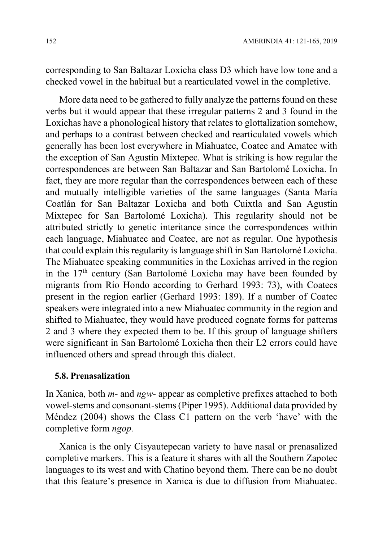corresponding to San Baltazar Loxicha class D3 which have low tone and a checked vowel in the habitual but a rearticulated vowel in the completive.

More data need to be gathered to fully analyze the patterns found on these verbs but it would appear that these irregular patterns 2 and 3 found in the Loxichas have a phonological history that relates to glottalization somehow, and perhaps to a contrast between checked and rearticulated vowels which generally has been lost everywhere in Miahuatec, Coatec and Amatec with the exception of San Agustín Mixtepec. What is striking is how regular the correspondences are between San Baltazar and San Bartolomé Loxicha. In fact, they are more regular than the correspondences between each of these and mutually intelligible varieties of the same languages (Santa María Coatlán for San Baltazar Loxicha and both Cuixtla and San Agustín Mixtepec for San Bartolomé Loxicha). This regularity should not be attributed strictly to genetic interitance since the correspondences within each language, Miahuatec and Coatec, are not as regular. One hypothesis that could explain this regularity is language shift in San Bartolomé Loxicha. The Miahuatec speaking communities in the Loxichas arrived in the region in the  $17<sup>th</sup>$  century (San Bartolomé Loxicha may have been founded by migrants from Río Hondo according to Gerhard 1993: 73), with Coatecs present in the region earlier (Gerhard 1993: 189). If a number of Coatec speakers were integrated into a new Miahuatec community in the region and shifted to Miahuatec, they would have produced cognate forms for patterns 2 and 3 where they expected them to be. If this group of language shifters were significant in San Bartolomé Loxicha then their L2 errors could have influenced others and spread through this dialect.

#### 5.8. Prenasalization

In Xanica, both *m*- and *ngw*- appear as completive prefixes attached to both vowel-stems and consonant-stems (Piper 1995). Additional data provided by Méndez (2004) shows the Class C1 pattern on the verb 'have' with the completive form ngop.

Xanica is the only Cisyautepecan variety to have nasal or prenasalized completive markers. This is a feature it shares with all the Southern Zapotec languages to its west and with Chatino beyond them. There can be no doubt that this feature's presence in Xanica is due to diffusion from Miahuatec.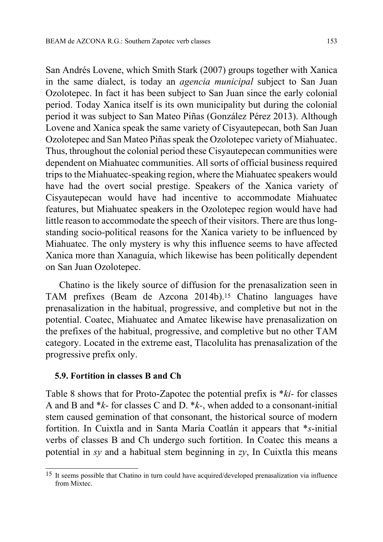San Andrés Lovene, which Smith Stark (2007) groups together with Xanica in the same dialect, is today an agencia municipal subject to San Juan Ozolotepec. In fact it has been subject to San Juan since the early colonial period. Today Xanica itself is its own municipality but during the colonial period it was subject to San Mateo Piñas (González Pérez 2013). Although Lovene and Xanica speak the same variety of Cisyautepecan, both San Juan Ozolotepec and San Mateo Piñas speak the Ozolotepec variety of Miahuatec. Thus, throughout the colonial period these Cisyautepecan communities were dependent on Miahuatec communities. All sorts of official business required trips to the Miahuatec-speaking region, where the Miahuatec speakers would have had the overt social prestige. Speakers of the Xanica variety of Cisyautepecan would have had incentive to accommodate Miahuatec features, but Miahuatec speakers in the Ozolotepec region would have had little reason to accommodate the speech of their visitors. There are thus longstanding socio-political reasons for the Xanica variety to be influenced by Miahuatec. The only mystery is why this influence seems to have affected Xanica more than Xanaguía, which likewise has been politically dependent on San Juan Ozolotepec.

Chatino is the likely source of diffusion for the prenasalization seen in TAM prefixes (Beam de Azcona 2014b).15 Chatino languages have prenasalization in the habitual, progressive, and completive but not in the potential. Coatec, Miahuatec and Amatec likewise have prenasalization on the prefixes of the habitual, progressive, and completive but no other TAM category. Located in the extreme east, Tlacolulita has prenasalization of the progressive prefix only.

#### 5.9. Fortition in classes B and Ch

Table 8 shows that for Proto-Zapotec the potential prefix is \*ki- for classes A and B and  $*_{k}$ - for classes C and D.  $*_{k}$ -, when added to a consonant-initial stem caused gemination of that consonant, the historical source of modern fortition. In Cuixtla and in Santa María Coatlán it appears that \*s-initial verbs of classes B and Ch undergo such fortition. In Coatec this means a potential in sy and a habitual stem beginning in zy, In Cuixtla this means

 $\overline{1}$ 15 It seems possible that Chatino in turn could have acquired/developed prenasalization via influence from Mixtec.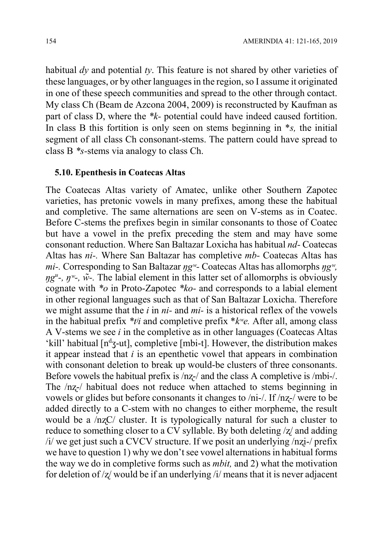habitual dy and potential ty. This feature is not shared by other varieties of these languages, or by other languages in the region, so I assume it originated in one of these speech communities and spread to the other through contact. My class Ch (Beam de Azcona 2004, 2009) is reconstructed by Kaufman as part of class D, where the \*k- potential could have indeed caused fortition. In class B this fortition is only seen on stems beginning in  $*_s$ , the initial segment of all class Ch consonant-stems. The pattern could have spread to class B \*s-stems via analogy to class Ch.

#### 5.10. Epenthesis in Coatecas Altas

The Coatecas Altas variety of Amatec, unlike other Southern Zapotec varieties, has pretonic vowels in many prefixes, among these the habitual and completive. The same alternations are seen on V-stems as in Coatec. Before C-stems the prefixes begin in similar consonants to those of Coatec but have a vowel in the prefix preceding the stem and may have some consonant reduction. Where San Baltazar Loxicha has habitual nd- Coatecas Altas has ni-. Where San Baltazar has completive mb- Coatecas Altas has mi-. Corresponding to San Baltazar  $\eta g^w$ - Coatecas Altas has allomorphs  $\eta g^w$ ,  $\eta g^{\mu}$ -,  $\eta^{\mu}$ -,  $\tilde{w}$ -. The labial element in this latter set of allomorphs is obviously cognate with  $*_{\text{o}}$  in Proto-Zapotec  $*_{\text{ko-}}$  and corresponds to a labial element in other regional languages such as that of San Baltazar Loxicha. Therefore we might assume that the  $i$  in  $ni$ - and  $mi$ - is a historical reflex of the vowels in the habitual prefix  $*ti$  and completive prefix  $*kv$ e. After all, among class A V-stems we see  $i$  in the completive as in other languages (Coatecas Altas 'kill' habitual  $[n^dz$ -ut], completive  $[mbi-t]$ . However, the distribution makes it appear instead that  $i$  is an epenthetic vowel that appears in combination with consonant deletion to break up would-be clusters of three consonants. Before vowels the habitual prefix is  $/nz$ -/ and the class A completive is  $/mbi$ -/. The  $/nz$ -/ habitual does not reduce when attached to stems beginning in vowels or glides but before consonants it changes to /ni-/. If /nʐ-/ were to be added directly to a C-stem with no changes to either morpheme, the result would be a /nʐC/ cluster. It is typologically natural for such a cluster to reduce to something closer to a CV syllable. By both deleting /ʐ/ and adding /i/ we get just such a CVCV structure. If we posit an underlying /nʐi-/ prefix we have to question 1) why we don't see vowel alternations in habitual forms the way we do in completive forms such as mbit, and 2) what the motivation for deletion of  $\frac{z}{x}$  would be if an underlying  $\frac{z}{y}$  means that it is never adjacent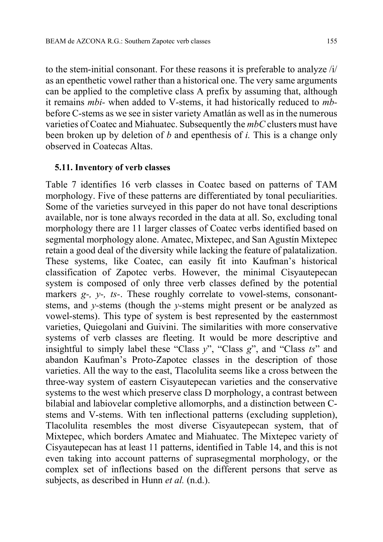to the stem-initial consonant. For these reasons it is preferable to analyze /i/ as an epenthetic vowel rather than a historical one. The very same arguments can be applied to the completive class A prefix by assuming that, although it remains mbi- when added to V-stems, it had historically reduced to mbbefore C-stems as we see in sister variety Amatlán as well as in the numerous varieties of Coatec and Miahuatec. Subsequently the mbC clusters must have been broken up by deletion of  $b$  and epenthesis of  $i$ . This is a change only observed in Coatecas Altas.

#### 5.11. Inventory of verb classes

Table 7 identifies 16 verb classes in Coatec based on patterns of TAM morphology. Five of these patterns are differentiated by tonal peculiarities. Some of the varieties surveyed in this paper do not have tonal descriptions available, nor is tone always recorded in the data at all. So, excluding tonal morphology there are 11 larger classes of Coatec verbs identified based on segmental morphology alone. Amatec, Mixtepec, and San Agustín Mixtepec retain a good deal of the diversity while lacking the feature of palatalization. These systems, like Coatec, can easily fit into Kaufman's historical classification of Zapotec verbs. However, the minimal Cisyautepecan system is composed of only three verb classes defined by the potential markers  $g$ -,  $y$ -,  $ts$ -. These roughly correlate to vowel-stems, consonantstems, and y-stems (though the y-stems might present or be analyzed as vowel-stems). This type of system is best represented by the easternmost varieties, Quiegolani and Guivini. The similarities with more conservative systems of verb classes are fleeting. It would be more descriptive and insightful to simply label these "Class  $y$ ", "Class  $g$ ", and "Class  $ts$ " and abandon Kaufman's Proto-Zapotec classes in the description of those varieties. All the way to the east, Tlacolulita seems like a cross between the three-way system of eastern Cisyautepecan varieties and the conservative systems to the west which preserve class D morphology, a contrast between bilabial and labiovelar completive allomorphs, and a distinction between Cstems and V-stems. With ten inflectional patterns (excluding suppletion), Tlacolulita resembles the most diverse Cisyautepecan system, that of Mixtepec, which borders Amatec and Miahuatec. The Mixtepec variety of Cisyautepecan has at least 11 patterns, identified in Table 14, and this is not even taking into account patterns of suprasegmental morphology, or the complex set of inflections based on the different persons that serve as subjects, as described in Hunn *et al.* (n.d.).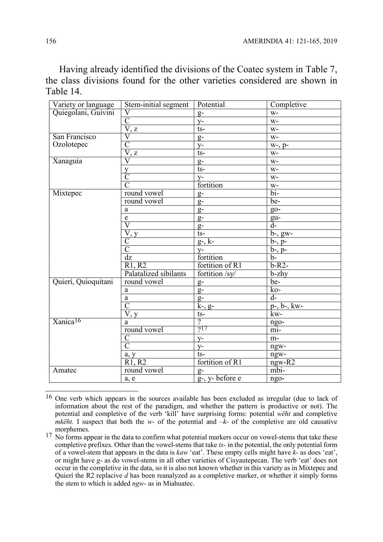Having already identified the divisions of the Coatec system in Table 7, the class divisions found for the other varieties considered are shown in Table 14.

| Variety or language<br>Quiegolani, Guivini | Stem-initial segment              | Potential            | Completive                |
|--------------------------------------------|-----------------------------------|----------------------|---------------------------|
|                                            | V                                 | $g-$                 | $W -$                     |
|                                            | $\overline{C}$                    | $y-$                 | $W -$                     |
|                                            | V, z                              | $ts -$               | $W -$                     |
| San Francisco                              | $\overline{\rm V}$                | $g-$                 | $W -$                     |
| Ozolotepec                                 | $\overline{\rm C}$                | $y-$                 | $W7$ , p-                 |
|                                            | $\overline{V}, \underline{z}$     | $ts -$               | $W-$                      |
| Xanaguía                                   | $\overline{\rm V}$                | $g-$                 | $W -$                     |
|                                            |                                   | $ts -$               | $W -$                     |
|                                            | $\frac{y}{C}$                     | $y-$                 | $W -$                     |
|                                            | $\overline{C}$                    | fortition            | $W-$                      |
| Mixtepec                                   | round vowel                       | $g-$                 | $\overline{bi}$           |
|                                            | round vowel                       | $g-$                 | be-                       |
|                                            | a                                 | $g-$                 | $g_{0}$ -                 |
|                                            | $\mathbf e$                       | $g-$                 | gu-                       |
|                                            | $\overline{\text{V}}$             | $g-$                 | $\overline{d}$ -          |
|                                            | $\overline{\rm V,y}$              | $ts -$               | $\overline{b}$ -, gw-     |
|                                            | $\overline{C}$                    | $g-$ , $k-$          | $b-, p-$                  |
|                                            | $\bar{\overline{C}}$              | $y-$                 | $b-, p-$                  |
|                                            | dz                                | fortition            | $\overline{b}$            |
|                                            | R1, R2                            | fortition of R1      | $b-R2-$                   |
|                                            | Palatalized sibilants             | fortition /sy/       | $b$ -zhy                  |
| Quierí, Quioquitani                        | round vowel                       | $g-$                 | be-                       |
|                                            | a                                 | $g-$                 | ko-                       |
|                                            | a                                 | $g-$                 | $\overline{d}$ -          |
|                                            | $\overline{C}$                    | $\overline{k}$ -, g- | $p-, b-, kw-$             |
|                                            | $\overline{V}$ , y                | $ts-$                | kw-                       |
| Xanica <sup>16</sup>                       | a                                 | $\overline{?}$       | ngo-                      |
|                                            | round vowel                       | ?17                  | mi-                       |
|                                            |                                   | $y-$                 | m-                        |
|                                            | $rac{\overline{C}}{\overline{C}}$ | $y-$                 | ngw-                      |
|                                            | a, y                              | $ts-$                | ngw-                      |
|                                            | R1, R2                            | fortition of R1      | ngw-R2                    |
| Amatec                                     | round vowel                       | $g-$                 | $\overline{\text{mbi}}$ - |
|                                            | a, e                              | g-, y- before e      | ngo-                      |
|                                            |                                   |                      |                           |

 $\overline{1}$ <sup>16</sup> One verb which appears in the sources available has been excluded as irregular (due to lack of information about the rest of the paradigm, and whether the pattern is productive or not). The potential and completive of the verb 'kill' have surprising forms: potential wëht and completive *mkëht*. I suspect that both the w- of the potential and  $-k$ - of the completive are old causative morphemes.

 $17$  No forms appear in the data to confirm what potential markers occur on vowel-stems that take these completive prefixes. Other than the vowel-stems that take ts- in the potential, the only potential form of a vowel-stem that appears in the data is kaw 'eat'. These empty cells might have k- as does 'eat', or might have g- as do vowel-stems in all other varieties of Cisyautepecan. The verb 'eat' does not occur in the completive in the data, so it is also not known whether in this variety as in Mixtepec and Quierí the R2 replacive d has been reanalyzed as a completive marker, or whether it simply forms the stem to which is added *ngw*- as in Miahuatec.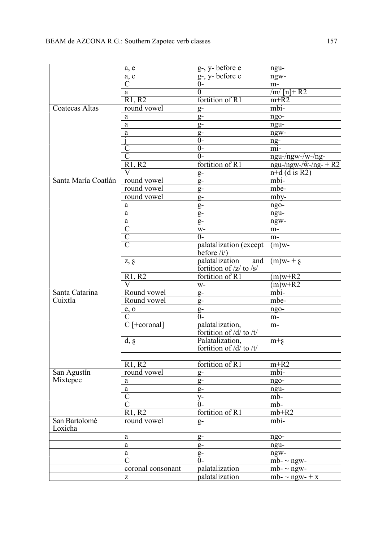|                          | a, e                                                  | g-, y- before e                                                           | ngu-                                 |  |
|--------------------------|-------------------------------------------------------|---------------------------------------------------------------------------|--------------------------------------|--|
|                          | a, e                                                  | $g$ -, y- before e                                                        | ngw-                                 |  |
|                          | $\overline{\text{C}}$                                 | $0-$                                                                      | $m-$                                 |  |
|                          | a                                                     | $\overline{0}$                                                            | $\sqrt{m}$ [n]+R2                    |  |
|                          | R1, R2                                                | fortition of R1                                                           | $m+R2$                               |  |
| Coatecas Altas           | round vowel                                           | $g-$                                                                      | mbi-                                 |  |
|                          | a                                                     | $g-$                                                                      | ngo-                                 |  |
|                          | a                                                     | $g-$                                                                      | ngu-                                 |  |
|                          | a                                                     | $g-$                                                                      | ngw-                                 |  |
|                          |                                                       | $\overline{0}$                                                            | ng-                                  |  |
|                          | $\overline{\text{C}}$                                 | $\overline{0}$                                                            | mi-                                  |  |
|                          | $\overline{\mathsf{C}}$                               | $\overline{0}$                                                            | $ngu$ -/ngw-/w-/ng-                  |  |
|                          | R1, R2                                                | fortition of R1                                                           | $ngu$ -/ngw-/ $\tilde{w}$ -/ng- + R2 |  |
|                          | $\overline{\rm V}$                                    |                                                                           | $n+d$ (d is R2)                      |  |
| Santa María Coatlán      | round vowel                                           | $g-$                                                                      | mbi-                                 |  |
|                          | round vowel                                           | $g-$                                                                      | $mbe-$                               |  |
|                          | round vowel                                           | $g-$                                                                      |                                      |  |
|                          |                                                       | $g-$                                                                      | mby-                                 |  |
|                          | a                                                     | $g-$                                                                      | ngo-                                 |  |
|                          | a                                                     | $g-$                                                                      | ngu-                                 |  |
|                          | a                                                     | $g-$                                                                      | ngw-                                 |  |
|                          | $\overline{C}$                                        | $W -$                                                                     | $m-$                                 |  |
|                          | $\overline{C}$                                        | $\overline{0}$                                                            | $m-$                                 |  |
|                          | $\overline{C}$                                        | palatalization (except<br>$\text{before } \langle i \rangle$              | $(m)$ w-                             |  |
|                          | Z, S                                                  | palatalization<br>and<br>fortition of $\frac{z}{\log x}$ to $\frac{s}{x}$ | $(m)w-+s$                            |  |
|                          | R1, R2                                                | fortition of R1                                                           | $(m)w+\overline{R2}$                 |  |
|                          | $\overline{\rm V}$                                    | $W-$                                                                      | $(m)w+R2$                            |  |
| Santa Catarina           | Round vowel                                           | $g-$                                                                      | mbi-                                 |  |
| Cuixtla                  | Round vowel                                           | $g-$                                                                      | mbe-                                 |  |
|                          | $e$ , o                                               | $g-$                                                                      | ngo-                                 |  |
|                          | $\overline{C}$                                        | $\overline{0}$                                                            | $m-$                                 |  |
|                          | $\overline{C}$ [+coronal]                             | palatalization,<br>fortition of /d/ to /t/                                | $m-$                                 |  |
|                          | d, g                                                  | Palatalization,<br>fortition of $/d/$ to $/t/$                            | $m + g$                              |  |
|                          |                                                       |                                                                           |                                      |  |
|                          | R1, R2                                                | fortition of R1                                                           | $m + R2$                             |  |
| San Agustín              | round vowel                                           | $g-$                                                                      | mbi-                                 |  |
| Mixtepec                 | a                                                     | $g-$                                                                      | ngo-                                 |  |
|                          | a                                                     | $g-$                                                                      | ngu-                                 |  |
|                          | $\overline{\rm C}$                                    | $y-$                                                                      | mb-                                  |  |
|                          | $\overline{C}$                                        | $0-$                                                                      | mb-                                  |  |
|                          | R1, R2                                                | fortition of R1                                                           | $mb+R2$                              |  |
| San Bartolomé<br>Loxicha | round vowel                                           | $g-$                                                                      | mbi-                                 |  |
|                          | a                                                     | $g-$                                                                      | ngo-                                 |  |
|                          | a                                                     | $g-$                                                                      | ngu-                                 |  |
|                          | a                                                     |                                                                           | ngw-                                 |  |
|                          | $\overline{\rm C}$                                    | $\frac{g}{0}$                                                             | $mb - \sim$ ngw-                     |  |
|                          | coronal consonant                                     | palatalization                                                            | $mb - \sim$ ngw-                     |  |
|                          | $\mathbf{Z}% ^{T}=\mathbf{Z}^{T}\times\mathbf{Z}^{T}$ | palatalization                                                            | mb- $\sim$ ngw-+x                    |  |
|                          |                                                       |                                                                           |                                      |  |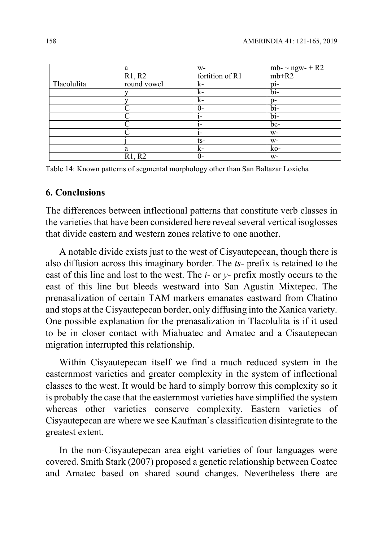|             | a              | $W-$            | mb- $\sim$ ngw- + R2 |
|-------------|----------------|-----------------|----------------------|
|             | R1, R2         | fortition of R1 | $mb+R2$              |
| Tlacolulita | round vowel    | $k-$            | pi-                  |
|             |                | $k-$            | $\overline{bi}$      |
|             |                | $k-$            | $p-$                 |
|             | $\mathcal{C}$  | $0-$            | $\overline{bi}$      |
|             | $\overline{C}$ | $1-$            | $\overline{bi}$      |
|             | C              | $1-$            | be-                  |
|             | $\mathcal{C}$  | $1-$            | $W-$                 |
|             |                | $ts-$           | $W -$                |
|             | a              | $k-$            | ko-                  |
|             | R1, R2         | $0-$            | $W-$                 |

Table 14: Known patterns of segmental morphology other than San Baltazar Loxicha

#### 6. Conclusions

The differences between inflectional patterns that constitute verb classes in the varieties that have been considered here reveal several vertical isoglosses that divide eastern and western zones relative to one another.

A notable divide exists just to the west of Cisyautepecan, though there is also diffusion across this imaginary border. The ts- prefix is retained to the east of this line and lost to the west. The  $i$ - or  $y$ - prefix mostly occurs to the east of this line but bleeds westward into San Agustin Mixtepec. The prenasalization of certain TAM markers emanates eastward from Chatino and stops at the Cisyautepecan border, only diffusing into the Xanica variety. One possible explanation for the prenasalization in Tlacolulita is if it used to be in closer contact with Miahuatec and Amatec and a Cisautepecan migration interrupted this relationship.

Within Cisyautepecan itself we find a much reduced system in the easternmost varieties and greater complexity in the system of inflectional classes to the west. It would be hard to simply borrow this complexity so it is probably the case that the easternmost varieties have simplified the system whereas other varieties conserve complexity. Eastern varieties of Cisyautepecan are where we see Kaufman's classification disintegrate to the greatest extent.

In the non-Cisyautepecan area eight varieties of four languages were covered. Smith Stark (2007) proposed a genetic relationship between Coatec and Amatec based on shared sound changes. Nevertheless there are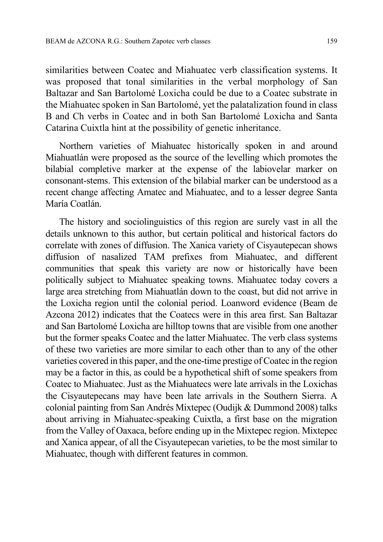similarities between Coatec and Miahuatec verb classification systems. It was proposed that tonal similarities in the verbal morphology of San Baltazar and San Bartolomé Loxicha could be due to a Coatec substrate in the Miahuatec spoken in San Bartolomé, yet the palatalization found in class B and Ch verbs in Coatec and in both San Bartolomé Loxicha and Santa Catarina Cuixtla hint at the possibility of genetic inheritance.

Northern varieties of Miahuatec historically spoken in and around Miahuatlán were proposed as the source of the levelling which promotes the bilabial completive marker at the expense of the labiovelar marker on consonant-stems. This extension of the bilabial marker can be understood as a recent change affecting Amatec and Miahuatec, and to a lesser degree Santa María Coatlán.

The history and sociolinguistics of this region are surely vast in all the details unknown to this author, but certain political and historical factors do correlate with zones of diffusion. The Xanica variety of Cisyautepecan shows diffusion of nasalized TAM prefixes from Miahuatec, and different communities that speak this variety are now or historically have been politically subject to Miahuatec speaking towns. Miahuatec today covers a large area stretching from Miahuatlán down to the coast, but did not arrive in the Loxicha region until the colonial period. Loanword evidence (Beam de Azcona 2012) indicates that the Coatecs were in this area first. San Baltazar and San Bartolomé Loxicha are hilltop towns that are visible from one another but the former speaks Coatec and the latter Miahuatec. The verb class systems of these two varieties are more similar to each other than to any of the other varieties covered in this paper, and the one-time prestige of Coatec in the region may be a factor in this, as could be a hypothetical shift of some speakers from Coatec to Miahuatec. Just as the Miahuatecs were late arrivals in the Loxichas the Cisyautepecans may have been late arrivals in the Southern Sierra. A colonial painting from San Andrés Mixtepec (Oudijk & Dummond 2008) talks about arriving in Miahuatec-speaking Cuixtla, a first base on the migration from the Valley of Oaxaca, before ending up in the Mixtepec region. Mixtepec and Xanica appear, of all the Cisyautepecan varieties, to be the most similar to Miahuatec, though with different features in common.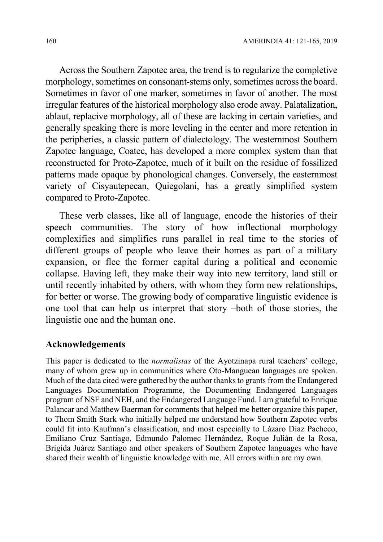Across the Southern Zapotec area, the trend is to regularize the completive morphology, sometimes on consonant-stems only, sometimes across the board. Sometimes in favor of one marker, sometimes in favor of another. The most irregular features of the historical morphology also erode away. Palatalization, ablaut, replacive morphology, all of these are lacking in certain varieties, and generally speaking there is more leveling in the center and more retention in the peripheries, a classic pattern of dialectology. The westernmost Southern Zapotec language, Coatec, has developed a more complex system than that reconstructed for Proto-Zapotec, much of it built on the residue of fossilized patterns made opaque by phonological changes. Conversely, the easternmost variety of Cisyautepecan, Quiegolani, has a greatly simplified system compared to Proto-Zapotec.

These verb classes, like all of language, encode the histories of their speech communities. The story of how inflectional morphology complexifies and simplifies runs parallel in real time to the stories of different groups of people who leave their homes as part of a military expansion, or flee the former capital during a political and economic collapse. Having left, they make their way into new territory, land still or until recently inhabited by others, with whom they form new relationships, for better or worse. The growing body of comparative linguistic evidence is one tool that can help us interpret that story –both of those stories, the linguistic one and the human one.

### Acknowledgements

This paper is dedicated to the normalistas of the Ayotzinapa rural teachers' college, many of whom grew up in communities where Oto-Manguean languages are spoken. Much of the data cited were gathered by the author thanks to grants from the Endangered Languages Documentation Programme, the Documenting Endangered Languages program of NSF and NEH, and the Endangered Language Fund. I am grateful to Enrique Palancar and Matthew Baerman for comments that helped me better organize this paper, to Thom Smith Stark who initially helped me understand how Southern Zapotec verbs could fit into Kaufman's classification, and most especially to Lázaro Díaz Pacheco, Emiliano Cruz Santiago, Edmundo Palomec Hernández, Roque Julián de la Rosa, Brígida Juárez Santiago and other speakers of Southern Zapotec languages who have shared their wealth of linguistic knowledge with me. All errors within are my own.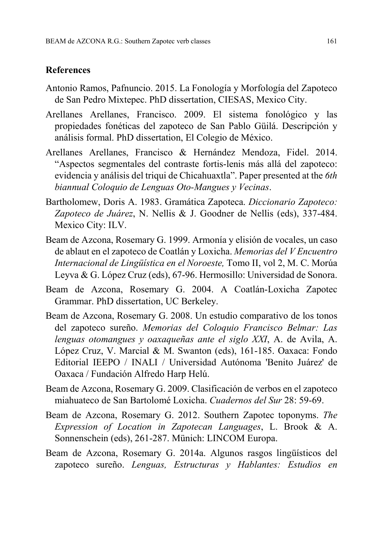### References

- Antonio Ramos, Pafnuncio. 2015. La Fonología y Morfología del Zapoteco de San Pedro Mixtepec. PhD dissertation, CIESAS, Mexico City.
- Arellanes Arellanes, Francisco. 2009. El sistema fonológico y las propiedades fonéticas del zapoteco de San Pablo Güilá. Descripción y análisis formal. PhD dissertation, El Colegio de México.
- Arellanes Arellanes, Francisco & Hernández Mendoza, Fidel. 2014. "Aspectos segmentales del contraste fortis-lenis más allá del zapoteco: evidencia y análisis del triqui de Chicahuaxtla". Paper presented at the 6th biannual Coloquio de Lenguas Oto-Mangues y Vecinas.
- Bartholomew, Doris A. 1983. Gramática Zapoteca. Diccionario Zapoteco: Zapoteco de Juárez, N. Nellis & J. Goodner de Nellis (eds), 337-484. Mexico City: ILV.
- Beam de Azcona, Rosemary G. 1999. Armonía y elisión de vocales, un caso de ablaut en el zapoteco de Coatlán y Loxicha. Memorias del V Encuentro Internacional de Lingüística en el Noroeste, Tomo II, vol 2, M. C. Morúa Leyva & G. López Cruz (eds), 67-96. Hermosillo: Universidad de Sonora.
- Beam de Azcona, Rosemary G. 2004. A Coatlán-Loxicha Zapotec Grammar. PhD dissertation, UC Berkeley.
- Beam de Azcona, Rosemary G. 2008. Un estudio comparativo de los tonos del zapoteco sureño. Memorias del Coloquio Francisco Belmar: Las lenguas otomangues y oaxaqueñas ante el siglo XXI, A. de Avila, A. López Cruz, V. Marcial & M. Swanton (eds), 161-185. Oaxaca: Fondo Editorial IEEPO / INALI / Universidad Autónoma 'Benito Juárez' de Oaxaca / Fundación Alfredo Harp Helú.
- Beam de Azcona, Rosemary G. 2009. Clasificación de verbos en el zapoteco miahuateco de San Bartolomé Loxicha. Cuadernos del Sur 28: 59-69.
- Beam de Azcona, Rosemary G. 2012. Southern Zapotec toponyms. The Expression of Location in Zapotecan Languages, L. Brook & A. Sonnenschein (eds), 261-287. Münich: LINCOM Europa.
- Beam de Azcona, Rosemary G. 2014a. Algunos rasgos lingüísticos del zapoteco sureño. Lenguas, Estructuras y Hablantes: Estudios en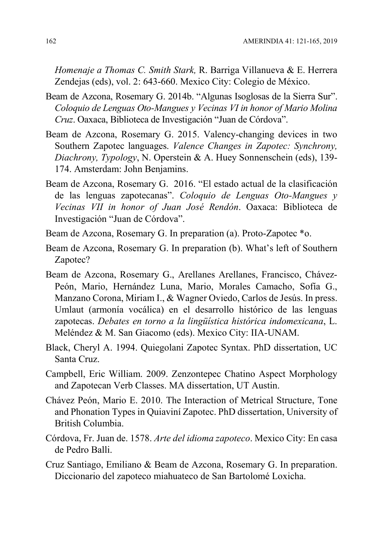Homenaje a Thomas C. Smith Stark, R. Barriga Villanueva & E. Herrera Zendejas (eds), vol. 2: 643-660. Mexico City: Colegio de México.

- Beam de Azcona, Rosemary G. 2014b. "Algunas Isoglosas de la Sierra Sur". Coloquio de Lenguas Oto-Mangues y Vecinas VI in honor of Mario Molina Cruz. Oaxaca, Biblioteca de Investigación "Juan de Córdova".
- Beam de Azcona, Rosemary G. 2015. Valency-changing devices in two Southern Zapotec languages. Valence Changes in Zapotec: Synchrony, Diachrony, Typology, N. Operstein & A. Huey Sonnenschein (eds), 139- 174. Amsterdam: John Benjamins.
- Beam de Azcona, Rosemary G. 2016. "El estado actual de la clasificación de las lenguas zapotecanas". Coloquio de Lenguas Oto-Mangues y Vecinas VII in honor of Juan José Rendón. Oaxaca: Biblioteca de Investigación "Juan de Córdova".
- Beam de Azcona, Rosemary G. In preparation (a). Proto-Zapotec \*o.
- Beam de Azcona, Rosemary G. In preparation (b). What's left of Southern Zapotec?
- Beam de Azcona, Rosemary G., Arellanes Arellanes, Francisco, Chávez-Peón, Mario, Hernández Luna, Mario, Morales Camacho, Sofía G., Manzano Corona, Miriam I., & Wagner Oviedo, Carlos de Jesús. In press. Umlaut (armonía vocálica) en el desarrollo histórico de las lenguas zapotecas. Debates en torno a la lingüística histórica indomexicana, L. Meléndez & M. San Giacomo (eds). Mexico City: IIA-UNAM.
- Black, Cheryl A. 1994. Quiegolani Zapotec Syntax. PhD dissertation, UC Santa Cruz.
- Campbell, Eric William. 2009. Zenzontepec Chatino Aspect Morphology and Zapotecan Verb Classes. MA dissertation, UT Austin.
- Chávez Peón, Mario E. 2010. The Interaction of Metrical Structure, Tone and Phonation Types in Quiaviní Zapotec. PhD dissertation, University of British Columbia.
- Córdova, Fr. Juan de. 1578. Arte del idioma zapoteco. Mexico City: En casa de Pedro Balli.
- Cruz Santiago, Emiliano & Beam de Azcona, Rosemary G. In preparation. Diccionario del zapoteco miahuateco de San Bartolomé Loxicha.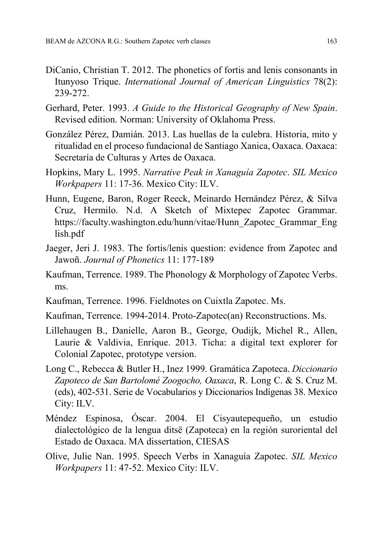- DiCanio, Christian T. 2012. The phonetics of fortis and lenis consonants in Itunyoso Trique. International Journal of American Linguistics 78(2): 239-272.
- Gerhard, Peter. 1993. A Guide to the Historical Geography of New Spain. Revised edition. Norman: University of Oklahoma Press.
- González Pérez, Damián. 2013. Las huellas de la culebra. Historia, mito y ritualidad en el proceso fundacional de Santiago Xanica, Oaxaca. Oaxaca: Secretaría de Culturas y Artes de Oaxaca.
- Hopkins, Mary L. 1995. Narrative Peak in Xanaguía Zapotec. SIL Mexico Workpapers 11: 17-36. Mexico City: ILV.
- Hunn, Eugene, Baron, Roger Reeck, Meinardo Hernández Pérez, & Silva Cruz, Hermilo. N.d. A Sketch of Mixtepec Zapotec Grammar. https://faculty.washington.edu/hunn/vitae/Hunn\_Zapotec\_Grammar\_Eng lish.pdf
- Jaeger, Jeri J. 1983. The fortis/lenis question: evidence from Zapotec and Jawoñ. Journal of Phonetics 11: 177-189
- Kaufman, Terrence. 1989. The Phonology & Morphology of Zapotec Verbs. ms.
- Kaufman, Terrence. 1996. Fieldnotes on Cuixtla Zapotec. Ms.
- Kaufman, Terrence. 1994-2014. Proto-Zapotec(an) Reconstructions. Ms.
- Lillehaugen B., Danielle, Aaron B., George, Oudijk, Michel R., Allen, Laurie & Valdivia, Enrique. 2013. Ticha: a digital text explorer for Colonial Zapotec, prototype version.
- Long C., Rebecca & Butler H., Inez 1999. Gramática Zapoteca. Diccionario Zapoteco de San Bartolomé Zoogocho, Oaxaca, R. Long C. & S. Cruz M. (eds), 402-531. Serie de Vocabularios y Diccionarios Indígenas 38. Mexico City: ILV.
- Méndez Espinosa, Óscar. 2004. El Cisyautepequeño, un estudio dialectológico de la lengua ditsë (Zapoteca) en la región suroriental del Estado de Oaxaca. MA dissertation, CIESAS
- Olive, Julie Nan. 1995. Speech Verbs in Xanaguía Zapotec. SIL Mexico Workpapers 11: 47-52. Mexico City: ILV.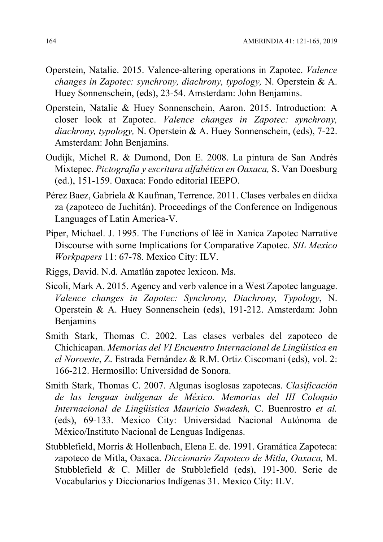- Operstein, Natalie. 2015. Valence-altering operations in Zapotec. Valence changes in Zapotec: synchrony, diachrony, typology, N. Operstein & A. Huey Sonnenschein, (eds), 23-54. Amsterdam: John Benjamins.
- Operstein, Natalie & Huey Sonnenschein, Aaron. 2015. Introduction: A closer look at Zapotec. Valence changes in Zapotec: synchrony, diachrony, typology, N. Operstein & A. Huey Sonnenschein, (eds), 7-22. Amsterdam: John Benjamins.
- Oudijk, Michel R. & Dumond, Don E. 2008. La pintura de San Andrés Mixtepec. Pictografía y escritura alfabética en Oaxaca, S. Van Doesburg (ed.), 151-159. Oaxaca: Fondo editorial IEEPO.
- Pérez Baez, Gabriela & Kaufman, Terrence. 2011. Clases verbales en diidxa za (zapoteco de Juchitán). Proceedings of the Conference on Indigenous Languages of Latin America-V.
- Piper, Michael. J. 1995. The Functions of lëë in Xanica Zapotec Narrative Discourse with some Implications for Comparative Zapotec. SIL Mexico Workpapers 11: 67-78. Mexico City: ILV.
- Riggs, David. N.d. Amatlán zapotec lexicon. Ms.
- Sicoli, Mark A. 2015. Agency and verb valence in a West Zapotec language. Valence changes in Zapotec: Synchrony, Diachrony, Typology, N. Operstein & A. Huey Sonnenschein (eds), 191-212. Amsterdam: John Benjamins
- Smith Stark, Thomas C. 2002. Las clases verbales del zapoteco de Chichicapan. Memorias del VI Encuentro Internacional de Lingüística en el Noroeste, Z. Estrada Fernández & R.M. Ortiz Ciscomani (eds), vol. 2: 166-212. Hermosillo: Universidad de Sonora.
- Smith Stark, Thomas C. 2007. Algunas isoglosas zapotecas. Clasificación de las lenguas indígenas de México. Memorias del III Coloquio Internacional de Lingüística Mauricio Swadesh, C. Buenrostro et al. (eds), 69-133. Mexico City: Universidad Nacional Autónoma de México/Instituto Nacional de Lenguas Indígenas.
- Stubblefield, Morris & Hollenbach, Elena E. de. 1991. Gramática Zapoteca: zapoteco de Mitla, Oaxaca. Diccionario Zapoteco de Mitla, Oaxaca, M. Stubblefield & C. Miller de Stubblefield (eds), 191-300. Serie de Vocabularios y Diccionarios Indígenas 31. Mexico City: ILV.